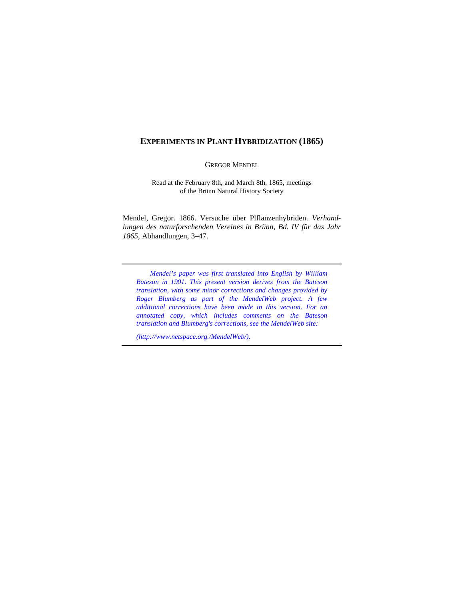# **EXPERIMENTS IN PLANT HYBRIDIZATION (1865)**

GREGOR MENDEL

Read at the February 8th, and March 8th, 1865, meetings of the Brünn Natural History Society

Mendel, Gregor. 1866. Versuche über Plflanzenhybriden. *Verhandlungen des naturforschenden Vereines in Brünn, Bd. IV für das Jahr 1865*, Abhandlungen, 3–47.

*Mendel's paper was first translated into English by William Bateson in 1901. This present version derives from the Bateson translation, with some minor corrections and changes provided by Roger Blumberg as part of the MendelWeb project. A few additional corrections have been made in this version. For an annotated copy, which includes comments on the Bateson translation and Blumberg's corrections, see the MendelWeb site:*

*(http://www.netspace.org./MendelWeb/).*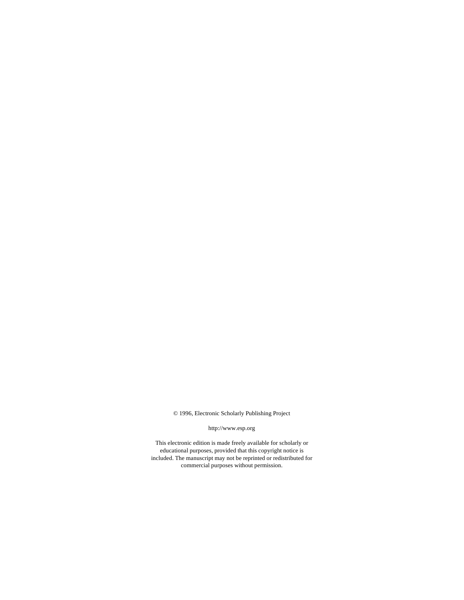© 1996, Electronic Scholarly Publishing Project

http://www.esp.org

This electronic edition is made freely available for scholarly or educational purposes, provided that this copyright notice is [included. The manuscript may not be reprinted or redistributed for](http://www.esp.org) commercial purposes without permission.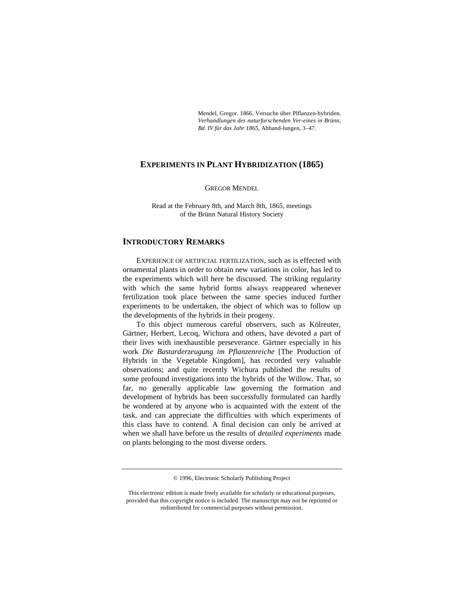Mendel, Gregor. 1866. Versuche über Plflanzen-hybriden. *Verhandlungen des naturforschenden Ver-eines in Brünn, Bd. IV für das Jahr 1865*, Abhand-lungen, 3–47.

# **EXPERIMENTS IN PLANT HYBRIDIZATION (1865)**

GREGOR MENDEL

Read at the February 8th, and March 8th, 1865, meetings of the Brünn Natural History Society

### **INTRODUCTORY REMARKS**

EXPERIENCE OF ARTIFICIAL FERTILIZATION, such as is effected with ornamental plants in order to obtain new variations in color, has led to the experiments which will here be discussed. The striking regularity with which the same hybrid forms always reappeared whenever fertilization took place between the same species induced further experiments to be undertaken, the object of which was to follow up the developments of the hybrids in their progeny.

To this object numerous careful observers, such as Kölreuter, Gärtner, Herbert, Lecoq, Wichura and others, have devoted a part of their lives with inexhaustible perseverance. Gärtner especially in his work *Die Bastarderzeugung im Pflanzenreiche* [The Production of Hybrids in the Vegetable Kingdom], has recorded very valuable observations; and quite recently Wichura published the results of some profound investigations into the hybrids of the Willow. That, so far, no generally applicable law governing the formation and development of hybrids has been successfully formulated can hardly be wondered at by anyone who is acquainted with the extent of the task, and can appreciate the difficulties with which experiments of this class have to contend. A final decision can only be arrived at when we shall have before us the results of *detailed experiments* made on plants belonging to the most diverse orders.

<sup>© 1996,</sup> Electronic Scholarly Publishing Project

This electronic edition is made freely available for scholarly or educational purposes, [provided that this copyright notice is included. The manuscript may not be reprinted or](http://www.esp.org) redistributed for commercial purposes without permission.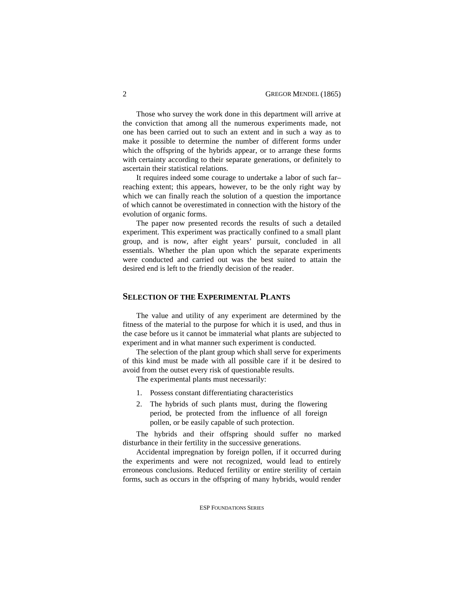Those who survey the work done in this department will arrive at the conviction that among all the numerous experiments made, not one has been carried out to such an extent and in such a way as to make it possible to determine the number of different forms under which the offspring of the hybrids appear, or to arrange these forms with certainty according to their separate generations, or definitely to ascertain their statistical relations.

It requires indeed some courage to undertake a labor of such far– reaching extent; this appears, however, to be the only right way by which we can finally reach the solution of a question the importance of which cannot be overestimated in connection with the history of the evolution of organic forms.

The paper now presented records the results of such a detailed experiment. This experiment was practically confined to a small plant group, and is now, after eight years' pursuit, concluded in all essentials. Whether the plan upon which the separate experiments were conducted and carried out was the best suited to attain the desired end is left to the friendly decision of the reader.

# **SELECTION OF THE EXPERIMENTAL PLANTS**

The value and utility of any experiment are determined by the fitness of the material to the purpose for which it is used, and thus in the case before us it cannot be immaterial what plants are subjected to experiment and in what manner such experiment is conducted.

The selection of the plant group which shall serve for experiments of this kind must be made with all possible care if it be desired to avoid from the outset every risk of questionable results.

The experimental plants must necessarily:

- 1. Possess constant differentiating characteristics
- 2. The hybrids of such plants must, during the flowering period, be protected from the influence of all foreign pollen, or be easily capable of such protection.

The hybrids and their offspring should suffer no marked disturbance in their fertility in the successive generations.

Accidental impregnation by foreign pollen, if it occurred during the experiments and were not recognized, would lead to entirely erroneous conclusions. Reduced fertility or entire sterility of certain forms, such as occurs in the offspring of many hybrids, would render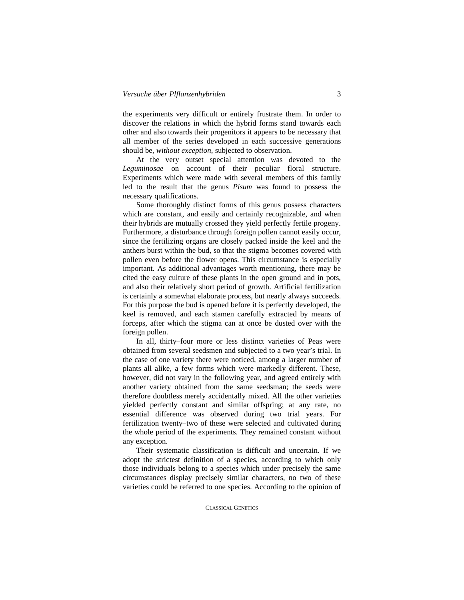the experiments very difficult or entirely frustrate them. In order to discover the relations in which the hybrid forms stand towards each other and also towards their progenitors it appears to be necessary that all member of the series developed in each successive generations should be, *without exception*, subjected to observation.

At the very outset special attention was devoted to the *Leguminosae* on account of their peculiar floral structure. Experiments which were made with several members of this family led to the result that the genus *Pisum* was found to possess the necessary qualifications.

Some thoroughly distinct forms of this genus possess characters which are constant, and easily and certainly recognizable, and when their hybrids are mutually crossed they yield perfectly fertile progeny. Furthermore, a disturbance through foreign pollen cannot easily occur, since the fertilizing organs are closely packed inside the keel and the anthers burst within the bud, so that the stigma becomes covered with pollen even before the flower opens. This circumstance is especially important. As additional advantages worth mentioning, there may be cited the easy culture of these plants in the open ground and in pots, and also their relatively short period of growth. Artificial fertilization is certainly a somewhat elaborate process, but nearly always succeeds. For this purpose the bud is opened before it is perfectly developed, the keel is removed, and each stamen carefully extracted by means of forceps, after which the stigma can at once be dusted over with the foreign pollen.

In all, thirty–four more or less distinct varieties of Peas were obtained from several seedsmen and subjected to a two year's trial. In the case of one variety there were noticed, among a larger number of plants all alike, a few forms which were markedly different. These, however, did not vary in the following year, and agreed entirely with another variety obtained from the same seedsman; the seeds were therefore doubtless merely accidentally mixed. All the other varieties yielded perfectly constant and similar offspring; at any rate, no essential difference was observed during two trial years. For fertilization twenty–two of these were selected and cultivated during the whole period of the experiments. They remained constant without any exception.

Their systematic classification is difficult and uncertain. If we adopt the strictest definition of a species, according to which only those individuals belong to a species which under precisely the same circumstances display precisely similar characters, no two of these varieties could be referred to one species. According to the opinion of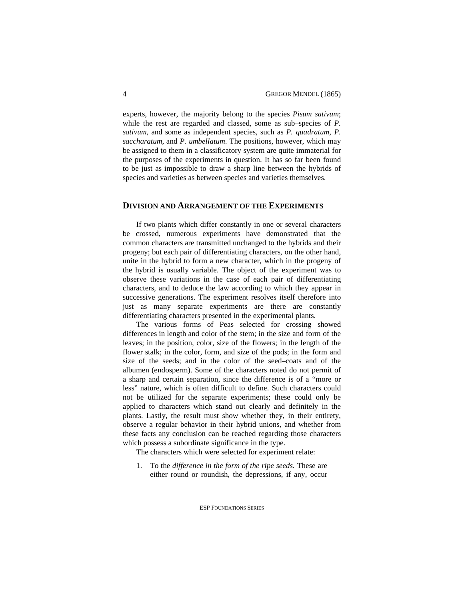experts, however, the majority belong to the species *Pisum sativum*; while the rest are regarded and classed, some as sub–species of *P. sativum*, and some as independent species, such as *P. quadratum*, *P. saccharatum*, and *P. umbellatum*. The positions, however, which may be assigned to them in a classificatory system are quite immaterial for the purposes of the experiments in question. It has so far been found to be just as impossible to draw a sharp line between the hybrids of species and varieties as between species and varieties themselves.

# **DIVISION AND ARRANGEMENT OF THE EXPERIMENTS**

If two plants which differ constantly in one or several characters be crossed, numerous experiments have demonstrated that the common characters are transmitted unchanged to the hybrids and their progeny; but each pair of differentiating characters, on the other hand, unite in the hybrid to form a new character, which in the progeny of the hybrid is usually variable. The object of the experiment was to observe these variations in the case of each pair of differentiating characters, and to deduce the law according to which they appear in successive generations. The experiment resolves itself therefore into just as many separate experiments are there are constantly differentiating characters presented in the experimental plants.

The various forms of Peas selected for crossing showed differences in length and color of the stem; in the size and form of the leaves; in the position, color, size of the flowers; in the length of the flower stalk; in the color, form, and size of the pods; in the form and size of the seeds; and in the color of the seed–coats and of the albumen (endosperm). Some of the characters noted do not permit of a sharp and certain separation, since the difference is of a "more or less" nature, which is often difficult to define. Such characters could not be utilized for the separate experiments; these could only be applied to characters which stand out clearly and definitely in the plants. Lastly, the result must show whether they, in their entirety, observe a regular behavior in their hybrid unions, and whether from these facts any conclusion can be reached regarding those characters which possess a subordinate significance in the type.

The characters which were selected for experiment relate:

1. To the *difference in the form of the ripe seeds*. These are either round or roundish, the depressions, if any, occur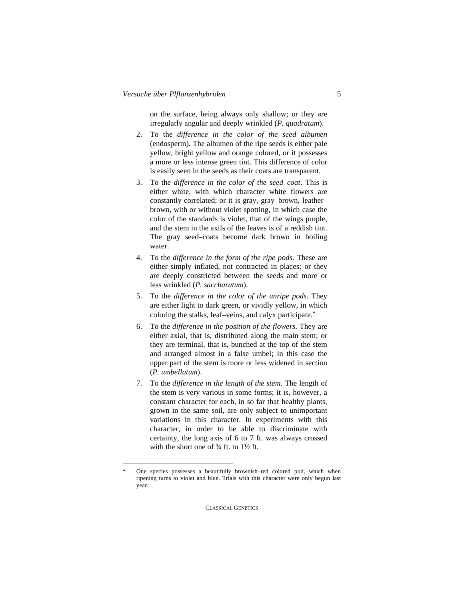on the surface, being always only shallow; or they are irregularly angular and deeply wrinkled (*P. quadratum*).

- 2. To the *difference in the color of the seed albumen* (endosperm). The albumen of the ripe seeds is either pale yellow, bright yellow and orange colored, or it possesses a more or less intense green tint. This difference of color is easily seen in the seeds as their coats are transparent.
- 3. To the *difference in the color of the seed–coat*. This is either white, with which character white flowers are constantly correlated; or it is gray, gray–brown, leather– brown, with or without violet spotting, in which case the color of the standards is violet, that of the wings purple, and the stem in the axils of the leaves is of a reddish tint. The gray seed–coats become dark brown in boiling water.
- 4. To the *difference in the form of the ripe pods*. These are either simply inflated, not contracted in places; or they are deeply constricted between the seeds and more or less wrinkled (*P. saccharatum*).
- 5. To the *difference in the color of the unripe pods*. They are either light to dark green, or vividly yellow, in which coloring the stalks, leaf–veins, and calyx participate.\*
- 6. To the *difference in the position of the flowers*. They are either axial, that is, distributed along the main stem; or they are terminal, that is, bunched at the top of the stem and arranged almost in a false umbel; in this case the upper part of the stem is more or less widened in section (*P. umbellatum*).
- 7. To the *difference in the length of the stem*. The length of the stem is very various in some forms; it is, however, a constant character for each, in so far that healthy plants, grown in the same soil, are only subject to unimportant variations in this character. In experiments with this character, in order to be able to discriminate with certainty, the long axis of 6 to 7 ft. was always crossed with the short one of  $\frac{3}{4}$  ft. to  $\frac{1}{2}$  ft.

One species possesses a beautifully brownish–red colored pod, which when ripening turns to violet and blue. Trials with this character were only begun last year.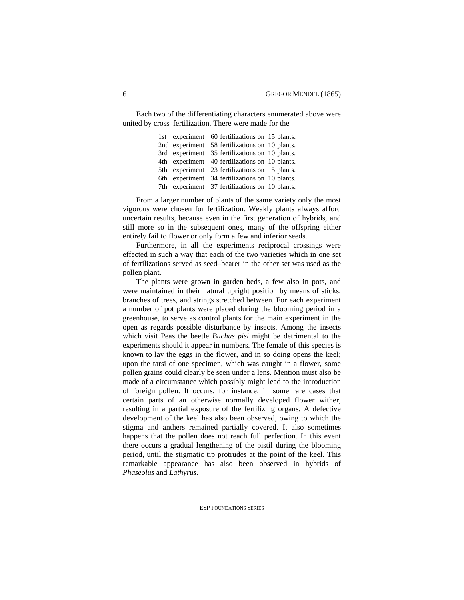Each two of the differentiating characters enumerated above were united by cross–fertilization. There were made for the

> 1st experiment 60 fertilizations on 15 plants. 2nd experiment 58 fertilizations on 10 plants. 3rd experiment 35 fertilizations on 10 plants. 4th experiment 40 fertilizations on 10 plants. 5th experiment 23 fertilizations on 5 plants. 6th experiment 34 fertilizations on 10 plants. 7th experiment 37 fertilizations on 10 plants.

From a larger number of plants of the same variety only the most vigorous were chosen for fertilization. Weakly plants always afford uncertain results, because even in the first generation of hybrids, and still more so in the subsequent ones, many of the offspring either entirely fail to flower or only form a few and inferior seeds.

Furthermore, in all the experiments reciprocal crossings were effected in such a way that each of the two varieties which in one set of fertilizations served as seed–bearer in the other set was used as the pollen plant.

The plants were grown in garden beds, a few also in pots, and were maintained in their natural upright position by means of sticks, branches of trees, and strings stretched between. For each experiment a number of pot plants were placed during the blooming period in a greenhouse, to serve as control plants for the main experiment in the open as regards possible disturbance by insects. Among the insects which visit Peas the beetle *Buchus pisi* might be detrimental to the experiments should it appear in numbers. The female of this species is known to lay the eggs in the flower, and in so doing opens the keel; upon the tarsi of one specimen, which was caught in a flower, some pollen grains could clearly be seen under a lens. Mention must also be made of a circumstance which possibly might lead to the introduction of foreign pollen. It occurs, for instance, in some rare cases that certain parts of an otherwise normally developed flower wither, resulting in a partial exposure of the fertilizing organs. A defective development of the keel has also been observed, owing to which the stigma and anthers remained partially covered. It also sometimes happens that the pollen does not reach full perfection. In this event there occurs a gradual lengthening of the pistil during the blooming period, until the stigmatic tip protrudes at the point of the keel. This remarkable appearance has also been observed in hybrids of *Phaseolus* and *Lathyrus*.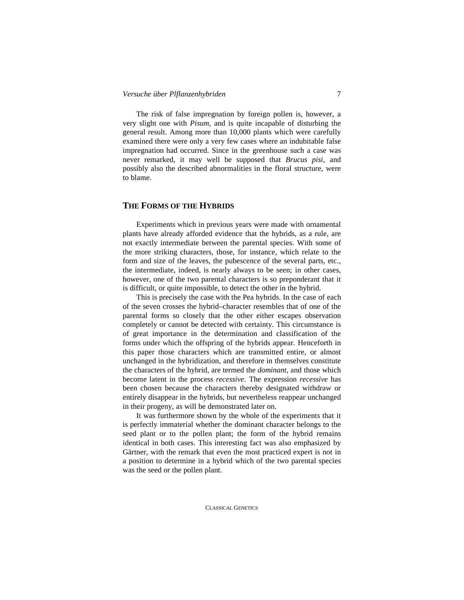The risk of false impregnation by foreign pollen is, however, a very slight one with *Pisum*, and is quite incapable of disturbing the general result. Among more than 10,000 plants which were carefully examined there were only a very few cases where an indubitable false impregnation had occurred. Since in the greenhouse such a case was never remarked, it may well be supposed that *Brucus pisi*, and possibly also the described abnormalities in the floral structure, were to blame.

# **THE FORMS OF THE HYBRIDS**

Experiments which in previous years were made with ornamental plants have already afforded evidence that the hybrids, as a rule, are not exactly intermediate between the parental species. With some of the more striking characters, those, for instance, which relate to the form and size of the leaves, the pubescence of the several parts, etc., the intermediate, indeed, is nearly always to be seen; in other cases, however, one of the two parental characters is so preponderant that it is difficult, or quite impossible, to detect the other in the hybrid.

This is precisely the case with the Pea hybrids. In the case of each of the seven crosses the hybrid–character resembles that of one of the parental forms so closely that the other either escapes observation completely or cannot be detected with certainty. This circumstance is of great importance in the determination and classification of the forms under which the offspring of the hybrids appear. Henceforth in this paper those characters which are transmitted entire, or almost unchanged in the hybridization, and therefore in themselves constitute the characters of the hybrid, are termed the *dominant*, and those which become latent in the process *recessive*. The expression *recessive* has been chosen because the characters thereby designated withdraw or entirely disappear in the hybrids, but nevertheless reappear unchanged in their progeny, as will be demonstrated later on.

It was furthermore shown by the whole of the experiments that it is perfectly immaterial whether the dominant character belongs to the seed plant or to the pollen plant; the form of the hybrid remains identical in both cases. This interesting fact was also emphasized by Gärtner, with the remark that even the most practiced expert is not in a position to determine in a hybrid which of the two parental species was the seed or the pollen plant.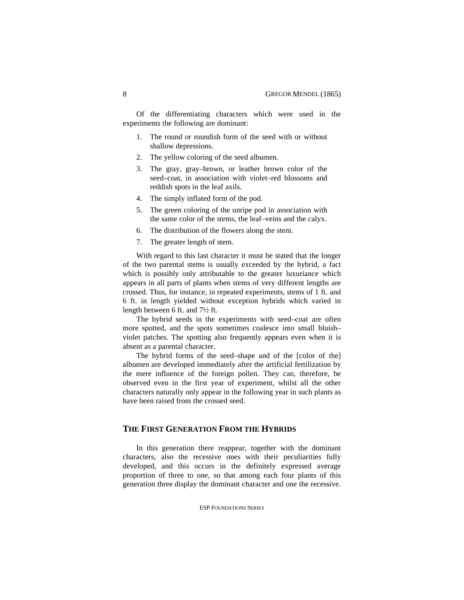Of the differentiating characters which were used in the experiments the following are dominant:

- 1. The round or roundish form of the seed with or without shallow depressions.
- 2. The yellow coloring of the seed albumen.
- 3. The gray, gray–brown, or leather brown color of the seed–coat, in association with violet–red blossoms and reddish spots in the leaf axils.
- 4. The simply inflated form of the pod.
- 5. The green coloring of the unripe pod in association with the same color of the stems, the leaf–veins and the calyx.
- 6. The distribution of the flowers along the stem.
- 7. The greater length of stem.

With regard to this last character it must be stated that the longer of the two parental stems is usually exceeded by the hybrid, a fact which is possibly only attributable to the greater luxuriance which appears in all parts of plants when stems of very different lengths are crossed. Thus, for instance, in repeated experiments, stems of 1 ft. and 6 ft. in length yielded without exception hybrids which varied in length between 6 ft. and 7½ ft.

The hybrid seeds in the experiments with seed–coat are often more spotted, and the spots sometimes coalesce into small bluish– violet patches. The spotting also frequently appears even when it is absent as a parental character.

The hybrid forms of the seed–shape and of the [color of the] albumen are developed immediately after the artificial fertilization by the mere influence of the foreign pollen. They can, therefore, be observed even in the first year of experiment, whilst all the other characters naturally only appear in the following year in such plants as have been raised from the crossed seed.

### **THE FIRST GENERATION FROM THE HYBRIDS**

In this generation there reappear, together with the dominant characters, also the recessive ones with their peculiarities fully developed, and this occurs in the definitely expressed average proportion of three to one, so that among each four plants of this generation three display the dominant character and one the recessive.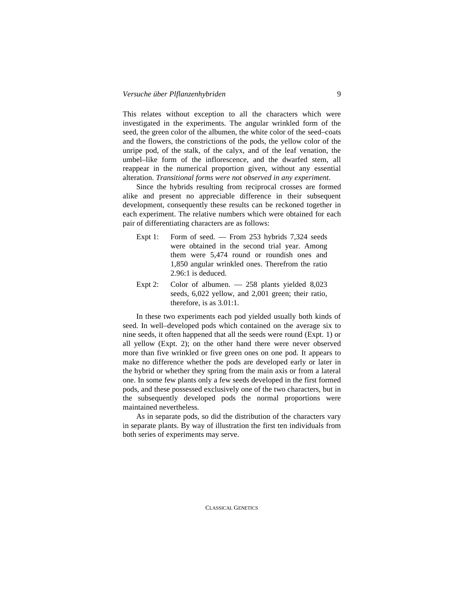This relates without exception to all the characters which were investigated in the experiments. The angular wrinkled form of the seed, the green color of the albumen, the white color of the seed–coats and the flowers, the constrictions of the pods, the yellow color of the unripe pod, of the stalk, of the calyx, and of the leaf venation, the umbel–like form of the inflorescence, and the dwarfed stem, all reappear in the numerical proportion given, without any essential alteration. *Transitional forms were not observed in any experiment*.

Since the hybrids resulting from reciprocal crosses are formed alike and present no appreciable difference in their subsequent development, consequently these results can be reckoned together in each experiment. The relative numbers which were obtained for each pair of differentiating characters are as follows:

- Expt 1: Form of seed. From 253 hybrids  $7,324$  seeds were obtained in the second trial year. Among them were 5,474 round or roundish ones and 1,850 angular wrinkled ones. Therefrom the ratio 2.96:1 is deduced.
- Expt 2: Color of albumen.  $-258$  plants yielded 8,023 seeds, 6,022 yellow, and 2,001 green; their ratio, therefore, is as 3.01:1.

In these two experiments each pod yielded usually both kinds of seed. In well–developed pods which contained on the average six to nine seeds, it often happened that all the seeds were round (Expt. 1) or all yellow (Expt. 2); on the other hand there were never observed more than five wrinkled or five green ones on one pod. It appears to make no difference whether the pods are developed early or later in the hybrid or whether they spring from the main axis or from a lateral one. In some few plants only a few seeds developed in the first formed pods, and these possessed exclusively one of the two characters, but in the subsequently developed pods the normal proportions were maintained nevertheless.

As in separate pods, so did the distribution of the characters vary in separate plants. By way of illustration the first ten individuals from both series of experiments may serve.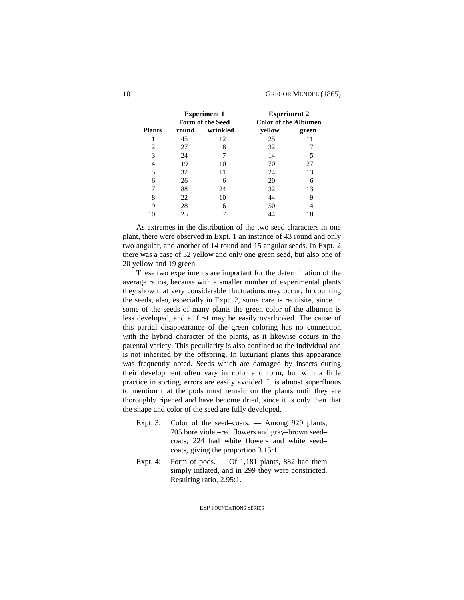|               |       | <b>Experiment 1</b><br>Form of the Seed | <b>Experiment 2</b><br><b>Color of the Albumen</b> |       |  |
|---------------|-------|-----------------------------------------|----------------------------------------------------|-------|--|
| <b>Plants</b> | round | wrinkled                                | yellow                                             | green |  |
|               | 45    | 12                                      | 25                                                 | 11    |  |
| 2             | 27    | 8                                       | 32                                                 |       |  |
| 3             | 24    |                                         | 14                                                 | 5     |  |
| 4             | 19    | 10                                      | 70                                                 | 27    |  |
| 5             | 32    | 11                                      | 24                                                 | 13    |  |
| 6             | 26    | 6                                       | 20                                                 | 6     |  |
| 7             | 88    | 24                                      | 32                                                 | 13    |  |
| 8             | 22    | 10                                      | 44                                                 | 9     |  |
| 9             | 28    | 6                                       | 50                                                 | 14    |  |
|               | 25    |                                         |                                                    | 18    |  |

As extremes in the distribution of the two seed characters in one plant, there were observed in Expt. 1 an instance of 43 round and only two angular, and another of 14 round and 15 angular seeds. In Expt. 2 there was a case of 32 yellow and only one green seed, but also one of 20 yellow and 19 green.

These two experiments are important for the determination of the average ratios, because with a smaller number of experimental plants they show that very considerable fluctuations may occur. In counting the seeds, also, especially in Expt. 2, some care is requisite, since in some of the seeds of many plants the green color of the albumen is less developed, and at first may be easily overlooked. The cause of this partial disappearance of the green coloring has no connection with the hybrid–character of the plants, as it likewise occurs in the parental variety. This peculiarity is also confined to the individual and is not inherited by the offspring. In luxuriant plants this appearance was frequently noted. Seeds which are damaged by insects during their development often vary in color and form, but with a little practice in sorting, errors are easily avoided. It is almost superfluous to mention that the pods must remain on the plants until they are thoroughly ripened and have become dried, since it is only then that the shape and color of the seed are fully developed.

- Expt. 3: Color of the seed–coats. Among 929 plants, 705 bore violet–red flowers and gray–brown seed– coats; 224 had white flowers and white seed– coats, giving the proportion 3.15:1.
- Expt. 4: Form of pods.  $-$  Of 1,181 plants, 882 had them simply inflated, and in 299 they were constricted. Resulting ratio, 2.95:1.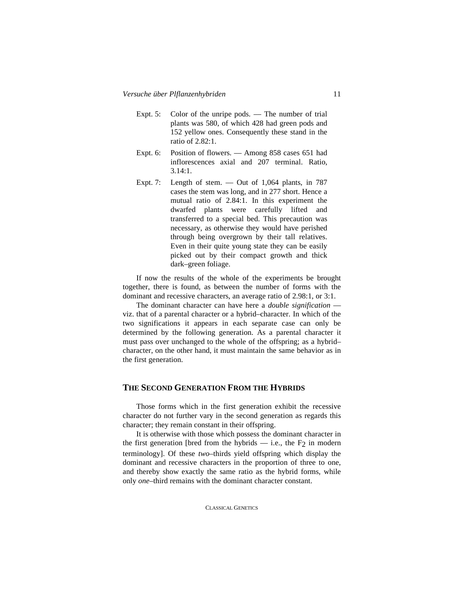- Expt. 5: Color of the unripe pods.  $\overline{\phantom{a}}$  The number of trial plants was 580, of which 428 had green pods and 152 yellow ones. Consequently these stand in the ratio of 2.82:1.
- Expt. 6: Position of flowers. Among 858 cases 651 had inflorescences axial and 207 terminal. Ratio,  $3.14 \cdot 1$
- Expt. 7: Length of stem.  $-$  Out of 1,064 plants, in 787 cases the stem was long, and in 277 short. Hence a mutual ratio of 2.84:1. In this experiment the dwarfed plants were carefully lifted and transferred to a special bed. This precaution was necessary, as otherwise they would have perished through being overgrown by their tall relatives. Even in their quite young state they can be easily picked out by their compact growth and thick dark–green foliage.

If now the results of the whole of the experiments be brought together, there is found, as between the number of forms with the dominant and recessive characters, an average ratio of 2.98:1, or 3:1.

The dominant character can have here a *double signification* –– viz. that of a parental character or a hybrid–character. In which of the two significations it appears in each separate case can only be determined by the following generation. As a parental character it must pass over unchanged to the whole of the offspring; as a hybrid– character, on the other hand, it must maintain the same behavior as in the first generation.

# **THE SECOND GENERATION FROM THE HYBRIDS**

Those forms which in the first generation exhibit the recessive character do not further vary in the second generation as regards this character; they remain constant in their offspring.

It is otherwise with those which possess the dominant character in the first generation [bred from the hybrids  $-$  i.e., the  $F_2$  in modern terminology]. Of these *two*–thirds yield offspring which display the dominant and recessive characters in the proportion of three to one, and thereby show exactly the same ratio as the hybrid forms, while only *one*–third remains with the dominant character constant.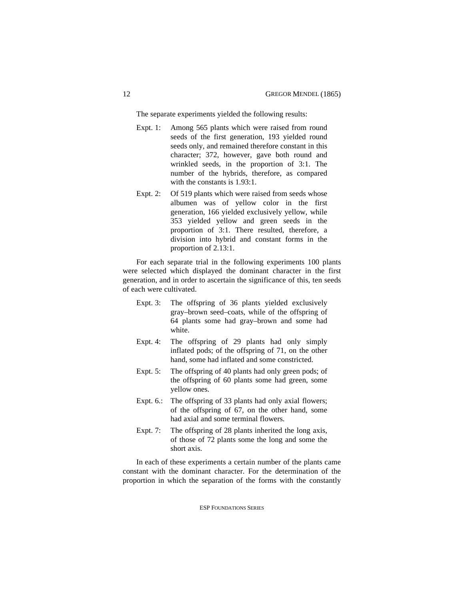The separate experiments yielded the following results:

- Expt. 1: Among 565 plants which were raised from round seeds of the first generation, 193 yielded round seeds only, and remained therefore constant in this character; 372, however, gave both round and wrinkled seeds, in the proportion of 3:1. The number of the hybrids, therefore, as compared with the constants is 1.93:1.
- Expt. 2: Of 519 plants which were raised from seeds whose albumen was of yellow color in the first generation, 166 yielded exclusively yellow, while 353 yielded yellow and green seeds in the proportion of 3:1. There resulted, therefore, a division into hybrid and constant forms in the proportion of 2.13:1.

For each separate trial in the following experiments 100 plants were selected which displayed the dominant character in the first generation, and in order to ascertain the significance of this, ten seeds of each were cultivated.

- Expt. 3: The offspring of 36 plants yielded exclusively gray–brown seed–coats, while of the offspring of 64 plants some had gray–brown and some had white.
- Expt. 4: The offspring of 29 plants had only simply inflated pods; of the offspring of 71, on the other hand, some had inflated and some constricted.
- Expt. 5: The offspring of 40 plants had only green pods; of the offspring of 60 plants some had green, some yellow ones.
- Expt. 6.: The offspring of 33 plants had only axial flowers; of the offspring of 67, on the other hand, some had axial and some terminal flowers.
- Expt. 7: The offspring of 28 plants inherited the long axis, of those of 72 plants some the long and some the short axis.

In each of these experiments a certain number of the plants came constant with the dominant character. For the determination of the proportion in which the separation of the forms with the constantly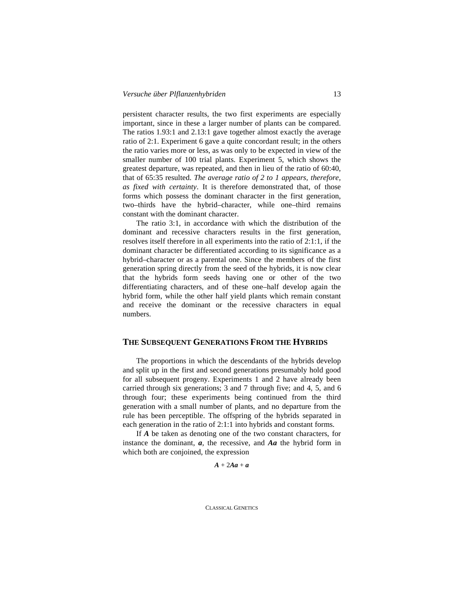persistent character results, the two first experiments are especially important, since in these a larger number of plants can be compared. The ratios 1.93:1 and 2.13:1 gave together almost exactly the average ratio of 2:1. Experiment 6 gave a quite concordant result; in the others the ratio varies more or less, as was only to be expected in view of the smaller number of 100 trial plants. Experiment 5, which shows the greatest departure, was repeated, and then in lieu of the ratio of 60:40, that of 65:35 resulted. *The average ratio of 2 to 1 appears, therefore, as fixed with certainty*. It is therefore demonstrated that, of those forms which possess the dominant character in the first generation, two–thirds have the hybrid–character, while one–third remains constant with the dominant character.

The ratio 3:1, in accordance with which the distribution of the dominant and recessive characters results in the first generation, resolves itself therefore in all experiments into the ratio of 2:1:1, if the dominant character be differentiated according to its significance as a hybrid–character or as a parental one. Since the members of the first generation spring directly from the seed of the hybrids, it is now clear that the hybrids form seeds having one or other of the two differentiating characters, and of these one–half develop again the hybrid form, while the other half yield plants which remain constant and receive the dominant or the recessive characters in equal numbers.

## **THE SUBSEQUENT GENERATIONS FROM THE HYBRIDS**

The proportions in which the descendants of the hybrids develop and split up in the first and second generations presumably hold good for all subsequent progeny. Experiments 1 and 2 have already been carried through six generations; 3 and 7 through five; and 4, 5, and 6 through four; these experiments being continued from the third generation with a small number of plants, and no departure from the rule has been perceptible. The offspring of the hybrids separated in each generation in the ratio of 2:1:1 into hybrids and constant forms.

If *A* be taken as denoting one of the two constant characters, for instance the dominant, *a*, the recessive, and *Aa* the hybrid form in which both are conjoined, the expression

$$
A+2Aa+a
$$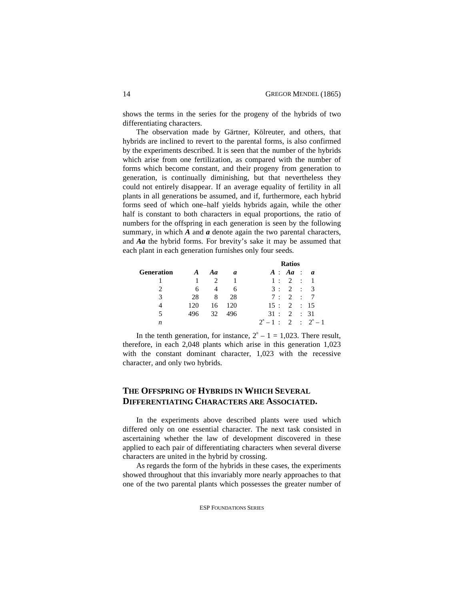shows the terms in the series for the progeny of the hybrids of two differentiating characters.

The observation made by Gärtner, Kölreuter, and others, that hybrids are inclined to revert to the parental forms, is also confirmed by the experiments described. It is seen that the number of the hybrids which arise from one fertilization, as compared with the number of forms which become constant, and their progeny from generation to generation, is continually diminishing, but that nevertheless they could not entirely disappear. If an average equality of fertility in all plants in all generations be assumed, and if, furthermore, each hybrid forms seed of which one–half yields hybrids again, while the other half is constant to both characters in equal proportions, the ratio of numbers for the offspring in each generation is seen by the following summary, in which *A* and *a* denote again the two parental characters, and *Aa* the hybrid forms. For brevity's sake it may be assumed that each plant in each generation furnishes only four seeds.

|            |          |    |     |                           | <b>Ratios</b> |  |
|------------|----------|----|-----|---------------------------|---------------|--|
| Generation | $\bm{A}$ | Aa | a   | A: Aa: a                  |               |  |
|            |          |    |     |                           | 1: 2: 1       |  |
|            | 6        | 4  | 6   |                           | 3:2:3         |  |
| 3          | 28       | 8  | 28  | 7:2:                      |               |  |
| 4          | 120      | 16 | 120 | 15:2:15                   |               |  |
| 5          | 496      | 32 | 496 | 31:                       | 2 : 31        |  |
| n          |          |    |     | $2^n - 1$ : 2 : $2^n - 1$ |               |  |

In the tenth generation, for instance,  $2<sup>n</sup> - 1 = 1,023$ . There result, therefore, in each 2,048 plants which arise in this generation 1,023 with the constant dominant character, 1,023 with the recessive character, and only two hybrids.

# **THE OFFSPRING OF HYBRIDS IN WHICH SEVERAL DIFFERENTIATING CHARACTERS ARE ASSOCIATED.**

In the experiments above described plants were used which differed only on one essential character. The next task consisted in ascertaining whether the law of development discovered in these applied to each pair of differentiating characters when several diverse characters are united in the hybrid by crossing.

As regards the form of the hybrids in these cases, the experiments showed throughout that this invariably more nearly approaches to that one of the two parental plants which possesses the greater number of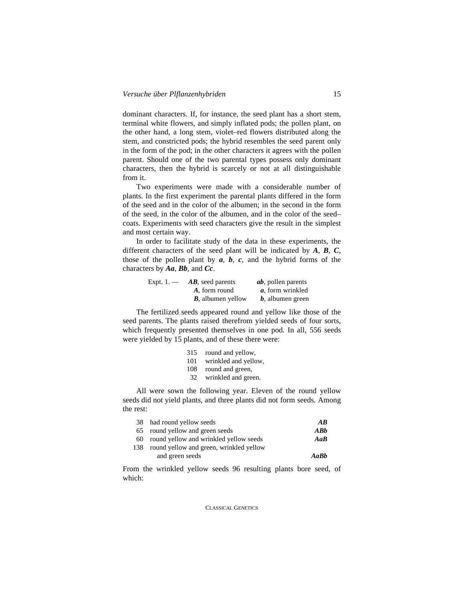dominant characters. If, for instance, the seed plant has a short stem, terminal white flowers, and simply inflated pods; the pollen plant, on the other hand, a long stem, violet–red flowers distributed along the stem, and constricted pods; the hybrid resembles the seed parent only in the form of the pod; in the other characters it agrees with the pollen parent. Should one of the two parental types possess only dominant characters, then the hybrid is scarcely or not at all distinguishable from it.

Two experiments were made with a considerable number of plants. In the first experiment the parental plants differed in the form of the seed and in the color of the albumen; in the second in the form of the seed, in the color of the albumen, and in the color of the seed– coats. Experiments with seed characters give the result in the simplest and most certain way.

In order to facilitate study of the data in these experiments, the different characters of the seed plant will be indicated by *A*, *B*, *C*, those of the pollen plant by  $a, b, c$ , and the hybrid forms of the characters by *Aa*, *Bb*, and *Cc*.

| Expt. $1.$ — | <b>AB</b> , seed parents  | <i>ab</i> , pollen parents |
|--------------|---------------------------|----------------------------|
|              | A, form round             | a, form wrinkled           |
|              | <b>B</b> , albumen yellow | $b$ , albumen green        |

The fertilized seeds appeared round and yellow like those of the seed parents. The plants raised therefrom yielded seeds of four sorts, which frequently presented themselves in one pod. In all, 556 seeds were yielded by 15 plants, and of these there were:

| round and yellow,    |
|----------------------|
| wrinkled and yellow, |
| round and green,     |
| wrinkled and green.  |
|                      |

All were sown the following year. Eleven of the round yellow seeds did not yield plants, and three plants did not form seeds. Among the rest:

|     | 38 had round yellow seeds                 | AB   |
|-----|-------------------------------------------|------|
|     | 65 round yellow and green seeds           | ABb  |
|     | 60 round yellow and wrinkled yellow seeds | AaB  |
| 138 | round yellow and green, wrinkled yellow   |      |
|     | and green seeds                           | AaBh |

From the wrinkled yellow seeds 96 resulting plants bore seed, of which: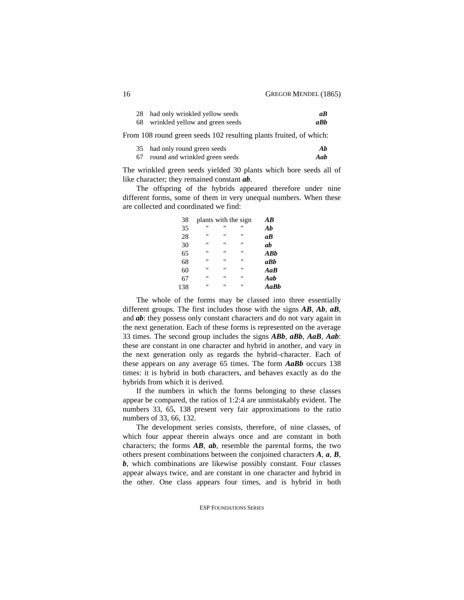| 28 had only wrinkled yellow seeds | аB  |
|-----------------------------------|-----|
| wrinkled yellow and green seeds   | aBh |

From 108 round green seeds 102 resulting plants fruited, of which:

|    | 35 had only round green seeds  | Ab  |
|----|--------------------------------|-----|
| 67 | round and wrinkled green seeds | Aab |

The wrinkled green seeds yielded 30 plants which bore seeds all of like character; they remained constant *ab*.

The offspring of the hybrids appeared therefore under nine different forms, some of them in very unequal numbers. When these are collected and coordinated we find:

| 38  | plants with the sign |                |              | $\overline{AB}$ |
|-----|----------------------|----------------|--------------|-----------------|
| 35  | Ħ                    | "              | п            | Ab              |
| 28  | "                    | "              | "            | $a\overline{B}$ |
| 30  | $^{\dagger}$         | "              | $^{\dagger}$ | ab              |
| 65  | $^{\dagger}$         | "              | $^{\prime}$  | ABb             |
| 68  | "                    | $\blacksquare$ | п            | aBh             |
| 60  | "                    | $\blacksquare$ | $^{\prime}$  | AaB             |
| 67  | Ħ                    | "              | $^{\dagger}$ | Aab             |
| 138 | Ħ                    | "              | $^{\prime}$  | AaBb            |

The whole of the forms may be classed into three essentially different groups. The first includes those with the signs *AB*, *Ab*, *aB*, and *ab*: they possess only constant characters and do not vary again in the next generation. Each of these forms is represented on the average 33 times. The second group includes the signs *ABb*, *aBb*, *AaB*, *Aab*: these are constant in one character and hybrid in another, and vary in the next generation only as regards the hybrid–character. Each of these appears on any average 65 times. The form *AaBb* occurs 138 times: it is hybrid in both characters, and behaves exactly as do the hybrids from which it is derived.

If the numbers in which the forms belonging to these classes appear be compared, the ratios of 1:2:4 are unmistakably evident. The numbers 33, 65, 138 present very fair approximations to the ratio numbers of 33, 66, 132.

The development series consists, therefore, of nine classes, of which four appear therein always once and are constant in both characters; the forms *AB*, *ab*, resemble the parental forms, the two others present combinations between the conjoined characters *A*, *a*, *B*, *b*, which combinations are likewise possibly constant. Four classes appear always twice, and are constant in one character and hybrid in the other. One class appears four times, and is hybrid in both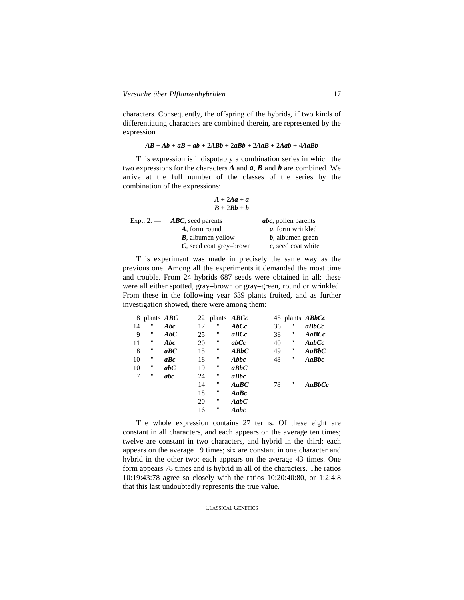characters. Consequently, the offspring of the hybrids, if two kinds of differentiating characters are combined therein, are represented by the expression

#### *AB* + *Ab* + *aB* + *ab* + 2*ABb* + 2*aBb* + 2*AaB* + 2*Aab* + 4*AaBb*

This expression is indisputably a combination series in which the two expressions for the characters *A* and *a*, *B* and *b* are combined. We arrive at the full number of the classes of the series by the combination of the expressions:

$$
\begin{array}{c}\nA+2Aa+a\\
B+2Bb+b\n\end{array}
$$

| Expt. $2.$ — | $\bf ABC$ , seed parents   | <i>abc</i> , pollen parents |  |
|--------------|----------------------------|-----------------------------|--|
|              | A, form round              | <i>a</i> , form wrinkled    |  |
|              | <b>B</b> , albumen yellow  | $b$ , albumen green         |  |
|              | $C$ , seed coat grey-brown | $c$ , seed coat white       |  |

This experiment was made in precisely the same way as the previous one. Among all the experiments it demanded the most time and trouble. From 24 hybrids 687 seeds were obtained in all: these were all either spotted, gray–brown or gray–green, round or wrinkled. From these in the following year 639 plants fruited, and as further investigation showed, there were among them:

| 8  | plants $ABC$      |                     | 22 | plants $\text{ABC}c$ |                                                               | 45 |   | plants $ABbCc$ |
|----|-------------------|---------------------|----|----------------------|---------------------------------------------------------------|----|---|----------------|
| 14 | "                 | Abc                 | 17 | $^{\dagger}$         | $\bm{A} \bm{b} \bm{C} \bm{c}$                                 | 36 | п | aBbCc          |
| 9  | "                 | AbC                 | 25 | $^{\prime\prime}$    | $\boldsymbol{a} \boldsymbol{B} \boldsymbol{C} \boldsymbol{c}$ | 38 | " | $A$ a $BCc$    |
| 11 | "                 | Abc                 | 20 | $^{\dagger}$         | abc                                                           | 40 | " | AabCc          |
| 8  | "                 | $a$ $BC$            | 15 | 11                   | $\bm{A}\bm{B}\bm{b}\bm{C}$                                    | 49 | " | $A$ a $BbC$    |
| 10 | "                 | $\boldsymbol{a}$ Bc | 18 | 11                   | Abbc                                                          | 48 | " | AaBbc          |
| 10 | $^{\prime\prime}$ | abc                 | 19 | $^{\dagger}$         | abbc                                                          |    |   |                |
| 7  | "                 | abc                 | 24 | $^{\dagger}$         | aBbc                                                          |    |   |                |
|    |                   |                     | 14 | $^{\dagger}$         | AaBC                                                          | 78 | " | $A$ a $BbCc$   |
|    |                   |                     | 18 | 11                   | $A$ a $B$ c                                                   |    |   |                |
|    |                   |                     | 20 | $^{\dagger}$         | AabC                                                          |    |   |                |
|    |                   |                     | 16 | $^{\prime\prime}$    | Aabc                                                          |    |   |                |

The whole expression contains 27 terms. Of these eight are constant in all characters, and each appears on the average ten times; twelve are constant in two characters, and hybrid in the third; each appears on the average 19 times; six are constant in one character and hybrid in the other two; each appears on the average 43 times. One form appears 78 times and is hybrid in all of the characters. The ratios 10:19:43:78 agree so closely with the ratios 10:20:40:80, or 1:2:4:8 that this last undoubtedly represents the true value.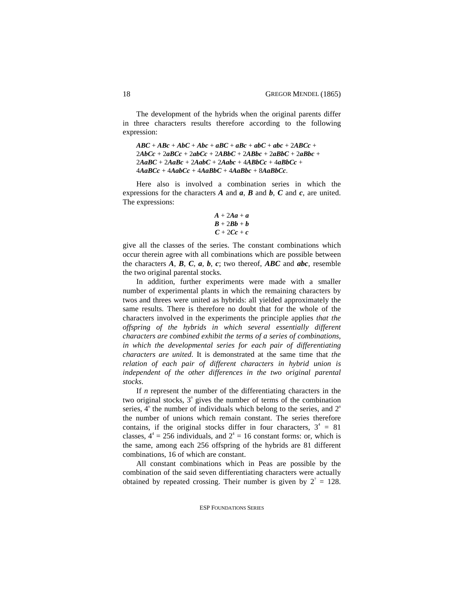The development of the hybrids when the original parents differ in three characters results therefore according to the following expression:

```
\overline{ABC} + \overline{ABC} + \overline{ABC} + \overline{ABC} + \overline{aBC} + \overline{aBC} + \overline{abc} + \overline{abc} + \overline{cac} +
2AbCc + 2aBCc + 2abCc + 2ABbC + 2ABbc + 2aBbC + 2aBbc +2AaBC + 2AaBc + 2AabC + 2Aabc + 4ABbCc + 4aBbCc +
4AaBCc + 4AabCc + 4AaBbC + 4AaBbc + 8AaBbCc.
```
Here also is involved a combination series in which the expressions for the characters *A* and *a*, *B* and *b*, *C* and *c*, are united. The expressions:

$$
A + 2Aa + a
$$
  
B + 2Bb + b  
C + 2Cc + c

give all the classes of the series. The constant combinations which occur therein agree with all combinations which are possible between the characters  $A$ ,  $B$ ,  $C$ ,  $a$ ,  $b$ ,  $c$ ; two thereof,  $ABC$  and  $abc$ , resemble the two original parental stocks.

In addition, further experiments were made with a smaller number of experimental plants in which the remaining characters by twos and threes were united as hybrids: all yielded approximately the same results. There is therefore no doubt that for the whole of the characters involved in the experiments the principle applies *that the offspring of the hybrids in which several essentially different characters are combined exhibit the terms of a series of combinations, in which the developmental series for each pair of differentiating characters are united*. It is demonstrated at the same time that *the relation of each pair of different characters in hybrid union is independent of the other differences in the two original parental stocks*.

If *n* represent the number of the differentiating characters in the two original stocks,  $3<sup>n</sup>$  gives the number of terms of the combination series,  $4^n$  the number of individuals which belong to the series, and  $2^n$ the number of unions which remain constant. The series therefore contains, if the original stocks differ in four characters,  $3^4 = 81$ classes,  $4^4 = 256$  individuals, and  $2^4 = 16$  constant forms: or, which is the same, among each 256 offspring of the hybrids are 81 different combinations, 16 of which are constant.

All constant combinations which in Peas are possible by the combination of the said seven differentiating characters were actually obtained by repeated crossing. Their number is given by  $2^7 = 128$ .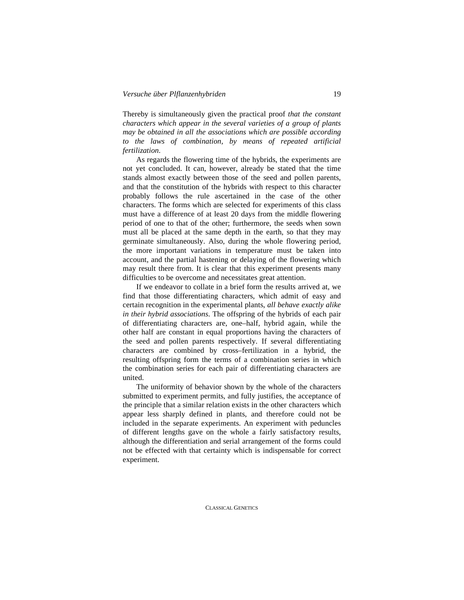Thereby is simultaneously given the practical proof *that the constant characters which appear in the several varieties of a group of plants may be obtained in all the associations which are possible according to the laws of combination, by means of repeated artificial fertilization*.

As regards the flowering time of the hybrids, the experiments are not yet concluded. It can, however, already be stated that the time stands almost exactly between those of the seed and pollen parents, and that the constitution of the hybrids with respect to this character probably follows the rule ascertained in the case of the other characters. The forms which are selected for experiments of this class must have a difference of at least 20 days from the middle flowering period of one to that of the other; furthermore, the seeds when sown must all be placed at the same depth in the earth, so that they may germinate simultaneously. Also, during the whole flowering period, the more important variations in temperature must be taken into account, and the partial hastening or delaying of the flowering which may result there from. It is clear that this experiment presents many difficulties to be overcome and necessitates great attention.

If we endeavor to collate in a brief form the results arrived at, we find that those differentiating characters, which admit of easy and certain recognition in the experimental plants, *all behave exactly alike in their hybrid associations*. The offspring of the hybrids of each pair of differentiating characters are, one–half, hybrid again, while the other half are constant in equal proportions having the characters of the seed and pollen parents respectively. If several differentiating characters are combined by cross–fertilization in a hybrid, the resulting offspring form the terms of a combination series in which the combination series for each pair of differentiating characters are united.

The uniformity of behavior shown by the whole of the characters submitted to experiment permits, and fully justifies, the acceptance of the principle that a similar relation exists in the other characters which appear less sharply defined in plants, and therefore could not be included in the separate experiments. An experiment with peduncles of different lengths gave on the whole a fairly satisfactory results, although the differentiation and serial arrangement of the forms could not be effected with that certainty which is indispensable for correct experiment.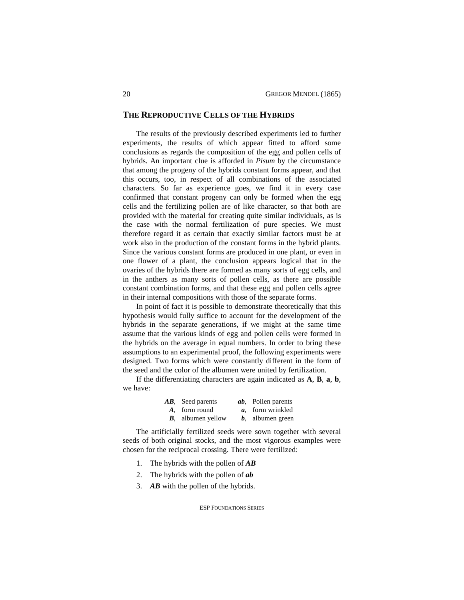# **THE REPRODUCTIVE CELLS OF THE HYBRIDS**

The results of the previously described experiments led to further experiments, the results of which appear fitted to afford some conclusions as regards the composition of the egg and pollen cells of hybrids. An important clue is afforded in *Pisum* by the circumstance that among the progeny of the hybrids constant forms appear, and that this occurs, too, in respect of all combinations of the associated characters. So far as experience goes, we find it in every case confirmed that constant progeny can only be formed when the egg cells and the fertilizing pollen are of like character, so that both are provided with the material for creating quite similar individuals, as is the case with the normal fertilization of pure species. We must therefore regard it as certain that exactly similar factors must be at work also in the production of the constant forms in the hybrid plants. Since the various constant forms are produced in one plant, or even in one flower of a plant, the conclusion appears logical that in the ovaries of the hybrids there are formed as many sorts of egg cells, and in the anthers as many sorts of pollen cells, as there are possible constant combination forms, and that these egg and pollen cells agree in their internal compositions with those of the separate forms.

In point of fact it is possible to demonstrate theoretically that this hypothesis would fully suffice to account for the development of the hybrids in the separate generations, if we might at the same time assume that the various kinds of egg and pollen cells were formed in the hybrids on the average in equal numbers. In order to bring these assumptions to an experimental proof, the following experiments were designed. Two forms which were constantly different in the form of the seed and the color of the albumen were united by fertilization.

If the differentiating characters are again indicated as **A**, **B**, **a**, **b**, we have:

| AB, Seed parents          | <i>ab</i> , Pollen parents |
|---------------------------|----------------------------|
| A, form round             | a, form wrinkled           |
| <b>B</b> , albumen yellow | $b$ , albumen green        |

The artificially fertilized seeds were sown together with several seeds of both original stocks, and the most vigorous examples were chosen for the reciprocal crossing. There were fertilized:

- 1. The hybrids with the pollen of *AB*
- 2. The hybrids with the pollen of *ab*
- 3. *AB* with the pollen of the hybrids.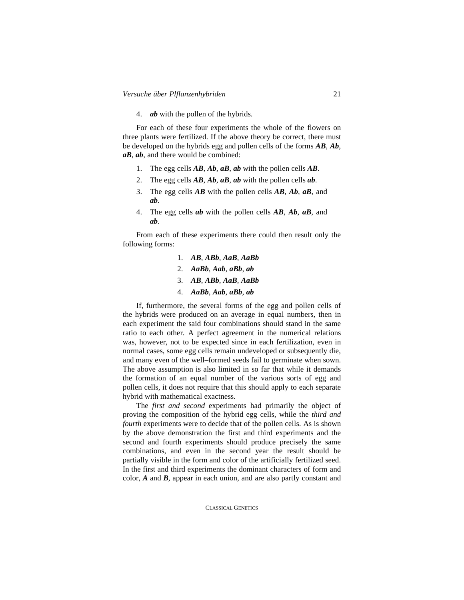4. *ab* with the pollen of the hybrids.

For each of these four experiments the whole of the flowers on three plants were fertilized. If the above theory be correct, there must be developed on the hybrids egg and pollen cells of the forms *AB*, *Ab*, *aB*, *ab*, and there would be combined:

- 1. The egg cells *AB*, *Ab*, *aB*, *ab* with the pollen cells *AB*.
- 2. The egg cells *AB*, *Ab*, *aB*, *ab* with the pollen cells *ab*.
- 3. The egg cells *AB* with the pollen cells *AB*, *Ab*, *aB*, and *ab*.
- 4. The egg cells *ab* with the pollen cells *AB*, *Ab*, *aB*, and *ab*.

From each of these experiments there could then result only the following forms:

- 1. *AB*, *ABb*, *AaB*, *AaBb*
- 2. *AaBb*, *Aab*, *aBb*, *ab*
- 3. *AB*, *ABb*, *AaB*, *AaBb*
- 4. *AaBb*, *Aab*, *aBb*, *ab*

If, furthermore, the several forms of the egg and pollen cells of the hybrids were produced on an average in equal numbers, then in each experiment the said four combinations should stand in the same ratio to each other. A perfect agreement in the numerical relations was, however, not to be expected since in each fertilization, even in normal cases, some egg cells remain undeveloped or subsequently die, and many even of the well–formed seeds fail to germinate when sown. The above assumption is also limited in so far that while it demands the formation of an equal number of the various sorts of egg and pollen cells, it does not require that this should apply to each separate hybrid with mathematical exactness.

The *first and second* experiments had primarily the object of proving the composition of the hybrid egg cells, while the *third and fourth* experiments were to decide that of the pollen cells. As is shown by the above demonstration the first and third experiments and the second and fourth experiments should produce precisely the same combinations, and even in the second year the result should be partially visible in the form and color of the artificially fertilized seed. In the first and third experiments the dominant characters of form and color, *A* and *B*, appear in each union, and are also partly constant and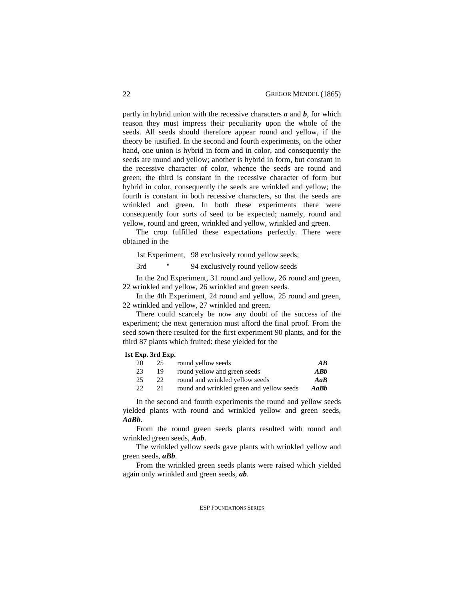partly in hybrid union with the recessive characters *a* and *b*, for which reason they must impress their peculiarity upon the whole of the seeds. All seeds should therefore appear round and yellow, if the theory be justified. In the second and fourth experiments, on the other hand, one union is hybrid in form and in color, and consequently the seeds are round and yellow; another is hybrid in form, but constant in the recessive character of color, whence the seeds are round and green; the third is constant in the recessive character of form but hybrid in color, consequently the seeds are wrinkled and yellow; the fourth is constant in both recessive characters, so that the seeds are wrinkled and green. In both these experiments there were consequently four sorts of seed to be expected; namely, round and yellow, round and green, wrinkled and yellow, wrinkled and green.

The crop fulfilled these expectations perfectly. There were obtained in the

1st Experiment, 98 exclusively round yellow seeds;

3rd " 94 exclusively round yellow seeds

In the 2nd Experiment, 31 round and yellow, 26 round and green, 22 wrinkled and yellow, 26 wrinkled and green seeds.

In the 4th Experiment, 24 round and yellow, 25 round and green, 22 wrinkled and yellow, 27 wrinkled and green.

There could scarcely be now any doubt of the success of the experiment; the next generation must afford the final proof. From the seed sown there resulted for the first experiment 90 plants, and for the third 87 plants which fruited: these yielded for the

### **1st Exp. 3rd Exp.**

| 25 | round yellow seeds                        | AB   |
|----|-------------------------------------------|------|
| 19 | round yellow and green seeds              | ABb  |
| 22 | round and wrinkled yellow seeds           | AaB  |
| 21 | round and wrinkled green and yellow seeds | AaBb |
|    |                                           |      |

In the second and fourth experiments the round and yellow seeds yielded plants with round and wrinkled yellow and green seeds, *AaBb*.

From the round green seeds plants resulted with round and wrinkled green seeds, *Aab*.

The wrinkled yellow seeds gave plants with wrinkled yellow and green seeds, *aBb*.

From the wrinkled green seeds plants were raised which yielded again only wrinkled and green seeds, *ab*.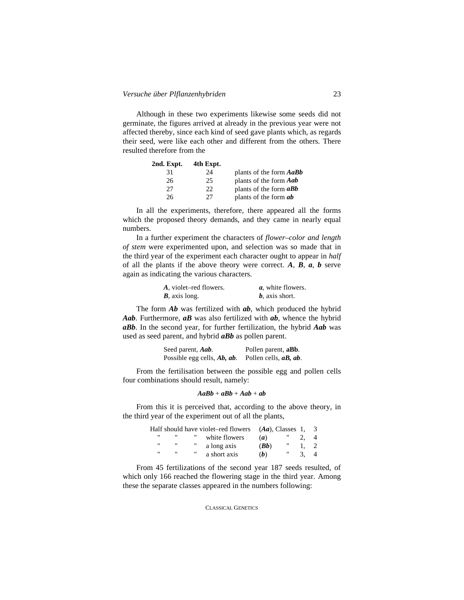Although in these two experiments likewise some seeds did not germinate, the figures arrived at already in the previous year were not affected thereby, since each kind of seed gave plants which, as regards their seed, were like each other and different from the others. There resulted therefore from the

| 2nd. Expt. | 4th Expt. |                                |
|------------|-----------|--------------------------------|
| 31         | 24        | plants of the form <b>AaBb</b> |
| 26         | 25        | plants of the form <b>Aab</b>  |
| 27         | 22        | plants of the form $aBb$       |
| 26         | 27        | plants of the form <b>ab</b>   |

In all the experiments, therefore, there appeared all the forms which the proposed theory demands, and they came in nearly equal numbers.

In a further experiment the characters of *flower–color and length of stem* were experimented upon, and selection was so made that in the third year of the experiment each character ought to appear in *half* of all the plants if the above theory were correct. *A*, *B*, *a*, *b* serve again as indicating the various characters.

| A, violet–red flowers. | <i>a</i> , white flowers. |
|------------------------|---------------------------|
| $B$ , axis long.       | $b$ , axis short.         |

The form *Ab* was fertilized with *ab*, which produced the hybrid *Aab*. Furthermore, *aB* was also fertilized with *ab*, whence the hybrid *aBb*. In the second year, for further fertilization, the hybrid *Aab* was used as seed parent, and hybrid *aBb* as pollen parent.

> Seed parent, *Aab*. Pollen parent, **aBb**. Possible egg cells, *Ab, ab*. Pollen cells, *aB, ab*.

From the fertilisation between the possible egg and pollen cells four combinations should result, namely:

$$
AaBb + aBb + Aab + ab
$$

From this it is perceived that, according to the above theory, in the third year of the experiment out of all the plants,

|   |                   | Half should have violet–red flowers | $(Aa)$ , Classes 1, |    |  |
|---|-------------------|-------------------------------------|---------------------|----|--|
| " |                   | white flowers                       | (a)                 |    |  |
| " | $^{\prime\prime}$ | <br>a long axis                     | (Bb)                | ., |  |
| " | $^{\prime\prime}$ | <br>a short axis                    | (b)                 | "  |  |

From 45 fertilizations of the second year 187 seeds resulted, of which only 166 reached the flowering stage in the third year. Among these the separate classes appeared in the numbers following: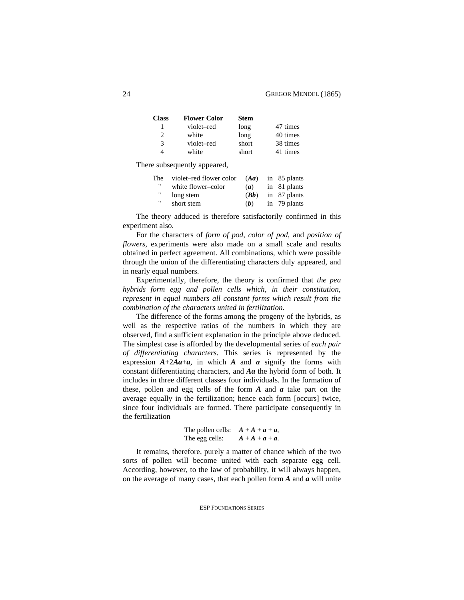| Class                       | <b>Flower Color</b> | <b>Stem</b> |          |
|-----------------------------|---------------------|-------------|----------|
|                             | violet-red          | long        | 47 times |
| $\mathcal{D}_{\mathcal{L}}$ | white               | long        | 40 times |
| 3                           | violet-red          | short       | 38 times |
| 4                           | white               | short       | 41 times |

There subsequently appeared,

| The 1 | violet-red flower color |      | $(Aa)$ in 85 plants |
|-------|-------------------------|------|---------------------|
| "     | white flower-color      | (a)  | in 81 plants        |
| .,    | long stem               | (Bb) | in 87 plants        |
| "     | short stem              | (b)  | in 79 plants        |

The theory adduced is therefore satisfactorily confirmed in this experiment also.

For the characters of *form of pod*, *color of pod*, and *position of flowers*, experiments were also made on a small scale and results obtained in perfect agreement. All combinations, which were possible through the union of the differentiating characters duly appeared, and in nearly equal numbers.

Experimentally, therefore, the theory is confirmed that *the pea hybrids form egg and pollen cells which, in their constitution, represent in equal numbers all constant forms which result from the combination of the characters united in fertilization*.

The difference of the forms among the progeny of the hybrids, as well as the respective ratios of the numbers in which they are observed, find a sufficient explanation in the principle above deduced. The simplest case is afforded by the developmental series of *each pair of differentiating characters*. This series is represented by the expression  $A+2Aa+a$ , in which *A* and *a* signify the forms with constant differentiating characters, and *Aa* the hybrid form of both. It includes in three different classes four individuals. In the formation of these, pollen and egg cells of the form *A* and *a* take part on the average equally in the fertilization; hence each form [occurs] twice, since four individuals are formed. There participate consequently in the fertilization

> The pollen cells:  $A + A + a + a$ , The egg cells:  $A + A + a + a$ .

It remains, therefore, purely a matter of chance which of the two sorts of pollen will become united with each separate egg cell. According, however, to the law of probability, it will always happen, on the average of many cases, that each pollen form *A* and *a* will unite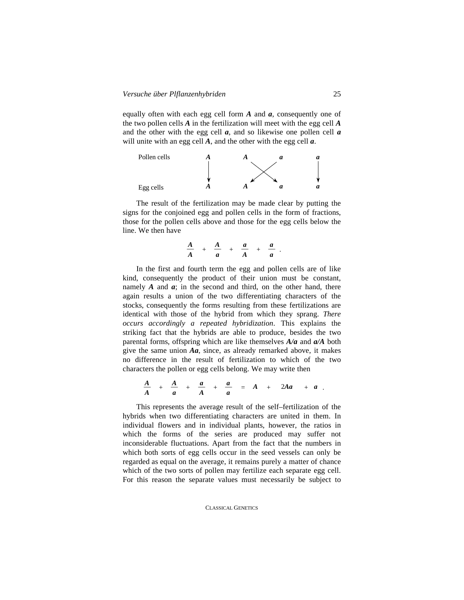equally often with each egg cell form *A* and *a*, consequently one of the two pollen cells *A* in the fertilization will meet with the egg cell *A* and the other with the egg cell *a*, and so likewise one pollen cell *a* will unite with an egg cell *A*, and the other with the egg cell *a*.



The result of the fertilization may be made clear by putting the signs for the conjoined egg and pollen cells in the form of fractions, those for the pollen cells above and those for the egg cells below the line. We then have

$$
\frac{A}{A} + \frac{A}{a} + \frac{a}{A} + \frac{a}{a}.
$$

In the first and fourth term the egg and pollen cells are of like kind, consequently the product of their union must be constant, namely *A* and *a*; in the second and third, on the other hand, there again results a union of the two differentiating characters of the stocks, consequently the forms resulting from these fertilizations are identical with those of the hybrid from which they sprang. *There occurs accordingly a repeated hybridization*. This explains the striking fact that the hybrids are able to produce, besides the two parental forms, offspring which are like themselves *A/a* and *a/A* both give the same union *Aa*, since, as already remarked above, it makes no difference in the result of fertilization to which of the two characters the pollen or egg cells belong. We may write then

 $\frac{A}{A} + \frac{A}{a} + \frac{a}{A} + \frac{a}{a} = A + 2Aa + a$ .

This represents the average result of the self–fertilization of the hybrids when two differentiating characters are united in them. In individual flowers and in individual plants, however, the ratios in which the forms of the series are produced may suffer not inconsiderable fluctuations. Apart from the fact that the numbers in which both sorts of egg cells occur in the seed vessels can only be regarded as equal on the average, it remains purely a matter of chance which of the two sorts of pollen may fertilize each separate egg cell. For this reason the separate values must necessarily be subject to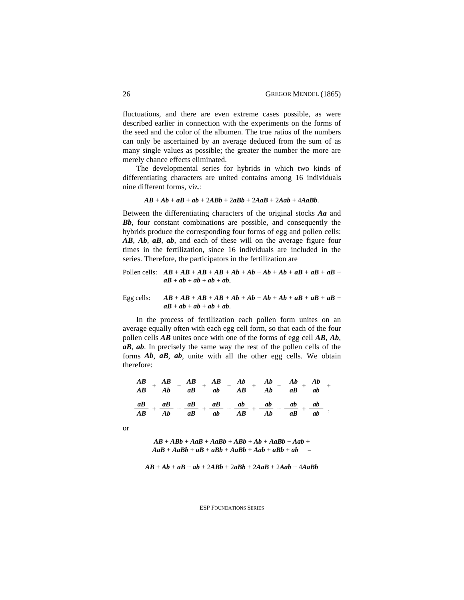fluctuations, and there are even extreme cases possible, as were described earlier in connection with the experiments on the forms of the seed and the color of the albumen. The true ratios of the numbers can only be ascertained by an average deduced from the sum of as many single values as possible; the greater the number the more are merely chance effects eliminated.

The developmental series for hybrids in which two kinds of differentiating characters are united contains among 16 individuals nine different forms, viz.:

$$
AB+Ab+aB+ab+2ABb+2aBb+2AaB+2Aab+4AaBb.
$$

Between the differentiating characters of the original stocks *Aa* and *Bb*, four constant combinations are possible, and consequently the hybrids produce the corresponding four forms of egg and pollen cells: *AB*, *Ab*, *aB*, *ab*, and each of these will on the average figure four times in the fertilization, since 16 individuals are included in the series. Therefore, the participators in the fertilization are

Pollen cells: 
$$
AB + AB + AB + AB + Ab + Ab + Ab + Ab + ab + ab + ab + ab +
$$
  
 $ab + ab + ab + ab + ab + ab$ .

Egg cells:  $AB + AB + AB + AB + Ab + Ab + Ab + Ab + ab + aB + aB + aB +$  $aB + ab + ab + ab + ab + ab$ .

In the process of fertilization each pollen form unites on an average equally often with each egg cell form, so that each of the four pollen cells *AB* unites once with one of the forms of egg cell *AB*, *Ab*, *aB*, *ab*. In precisely the same way the rest of the pollen cells of the forms *Ab*, *aB*, *ab*, unite with all the other egg cells. We obtain therefore:

$$
\frac{AB}{AB} + \frac{AB}{Ab} + \frac{AB}{ab} + \frac{AB}{ab} + \frac{Ab}{AB} + \frac{Ab}{Ab} + \frac{Ab}{ab} + \frac{Ab}{ab} + \frac{ab}{ab}
$$

$$
\frac{aB}{AB} + \frac{aB}{Ab} + \frac{aB}{ab} + \frac{ab}{ab} + \frac{ab}{AB} + \frac{ab}{ab} + \frac{ab}{ab} + \frac{ab}{ab} + \frac{ab}{ab}
$$

or

$$
AB + A B b + A a B + A a B b + A B b + A b + A a B b + A a b + A a B + A a B b + a B + A a B b + A a b + A a b + a b =
$$

$$
AB+Ab+aB+ab+2ABb+2aBb+2AaB+2Aab+4AaBb
$$

ESP FOUNDATIONS SERIES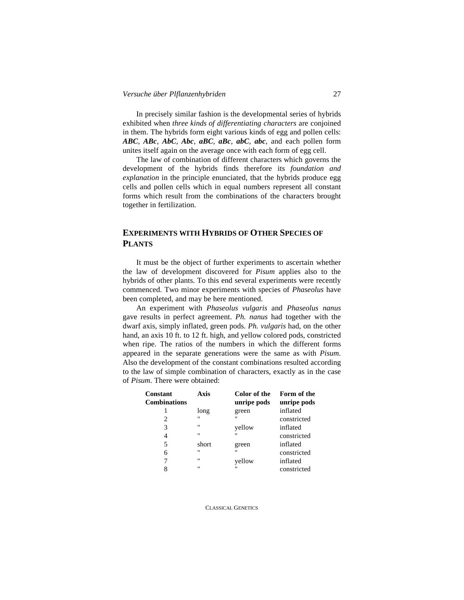In precisely similar fashion is the developmental series of hybrids exhibited when *three kinds of differentiating characters* are conjoined in them. The hybrids form eight various kinds of egg and pollen cells: *ABC*, *ABc*, *AbC*, *Abc*, *aBC*, *aBc*, *abC*, *abc*, and each pollen form unites itself again on the average once with each form of egg cell.

The law of combination of different characters which governs the development of the hybrids finds therefore its *foundation and explanation* in the principle enunciated, that the hybrids produce egg cells and pollen cells which in equal numbers represent all constant forms which result from the combinations of the characters brought together in fertilization.

# **EXPERIMENTS WITH HYBRIDS OF OTHER SPECIES OF PLANTS**

It must be the object of further experiments to ascertain whether the law of development discovered for *Pisum* applies also to the hybrids of other plants. To this end several experiments were recently commenced. Two minor experiments with species of *Phaseolus* have been completed, and may be here mentioned.

An experiment with *Phaseolus vulgaris* and *Phaseolus nanus* gave results in perfect agreement. *Ph. nanus* had together with the dwarf axis, simply inflated, green pods. *Ph. vulgaris* had, on the other hand, an axis 10 ft. to 12 ft. high, and yellow colored pods, constricted when ripe. The ratios of the numbers in which the different forms appeared in the separate generations were the same as with *Pisum*. Also the development of the constant combinations resulted according to the law of simple combination of characters, exactly as in the case of *Pisum*. There were obtained:

| Constant<br><b>Combinations</b> | Axis        | Color of the<br>unripe pods | Form of the<br>unripe pods |
|---------------------------------|-------------|-----------------------------|----------------------------|
| 1                               | long        | green                       | inflated                   |
| 2                               | $^{\prime}$ | "                           | constricted                |
| 3                               | $^{\prime}$ | yellow                      | inflated                   |
| 4                               | $^{\prime}$ | "                           | constricted                |
| 5                               | short       | green                       | inflated                   |
| 6                               | $^{\prime}$ | $^{\prime}$                 | constricted                |
| 7                               | $^{\prime}$ | yellow                      | inflated                   |
| 8                               | $^{\prime}$ | "                           | constricted                |
|                                 |             |                             |                            |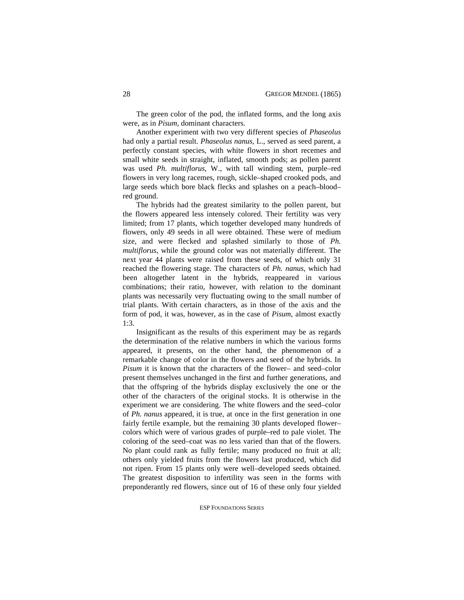The green color of the pod, the inflated forms, and the long axis were, as in *Pisum*, dominant characters.

Another experiment with two very different species of *Phaseolus* had only a partial result. *Phaseolus nanus*, L., served as seed parent, a perfectly constant species, with white flowers in short recemes and small white seeds in straight, inflated, smooth pods; as pollen parent was used *Ph. multiflorus*, W., with tall winding stem, purple–red flowers in very long racemes, rough, sickle–shaped crooked pods, and large seeds which bore black flecks and splashes on a peach–blood– red ground.

The hybrids had the greatest similarity to the pollen parent, but the flowers appeared less intensely colored. Their fertility was very limited; from 17 plants, which together developed many hundreds of flowers, only 49 seeds in all were obtained. These were of medium size, and were flecked and splashed similarly to those of *Ph. multiflorus*, while the ground color was not materially different. The next year 44 plants were raised from these seeds, of which only 31 reached the flowering stage. The characters of *Ph. nanus*, which had been altogether latent in the hybrids, reappeared in various combinations; their ratio, however, with relation to the dominant plants was necessarily very fluctuating owing to the small number of trial plants. With certain characters, as in those of the axis and the form of pod, it was, however, as in the case of *Pisum*, almost exactly 1:3.

Insignificant as the results of this experiment may be as regards the determination of the relative numbers in which the various forms appeared, it presents, on the other hand, the phenomenon of a remarkable change of color in the flowers and seed of the hybrids. In *Pisum* it is known that the characters of the flower– and seed–color present themselves unchanged in the first and further generations, and that the offspring of the hybrids display exclusively the one or the other of the characters of the original stocks. It is otherwise in the experiment we are considering. The white flowers and the seed–color of *Ph. nanus* appeared, it is true, at once in the first generation in one fairly fertile example, but the remaining 30 plants developed flower– colors which were of various grades of purple–red to pale violet. The coloring of the seed–coat was no less varied than that of the flowers. No plant could rank as fully fertile; many produced no fruit at all; others only yielded fruits from the flowers last produced, which did not ripen. From 15 plants only were well–developed seeds obtained. The greatest disposition to infertility was seen in the forms with preponderantly red flowers, since out of 16 of these only four yielded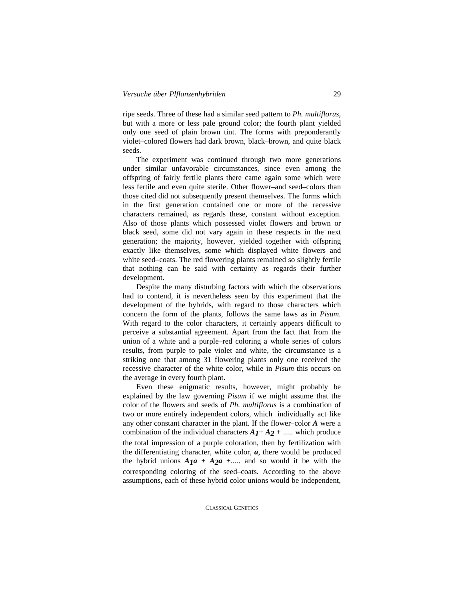ripe seeds. Three of these had a similar seed pattern to *Ph. multiflorus*, but with a more or less pale ground color; the fourth plant yielded only one seed of plain brown tint. The forms with preponderantly violet–colored flowers had dark brown, black–brown, and quite black seeds.

The experiment was continued through two more generations under similar unfavorable circumstances, since even among the offspring of fairly fertile plants there came again some which were less fertile and even quite sterile. Other flower–and seed–colors than those cited did not subsequently present themselves. The forms which in the first generation contained one or more of the recessive characters remained, as regards these, constant without exception. Also of those plants which possessed violet flowers and brown or black seed, some did not vary again in these respects in the next generation; the majority, however, yielded together with offspring exactly like themselves, some which displayed white flowers and white seed–coats. The red flowering plants remained so slightly fertile that nothing can be said with certainty as regards their further development.

Despite the many disturbing factors with which the observations had to contend, it is nevertheless seen by this experiment that the development of the hybrids, with regard to those characters which concern the form of the plants, follows the same laws as in *Pisum*. With regard to the color characters, it certainly appears difficult to perceive a substantial agreement. Apart from the fact that from the union of a white and a purple–red coloring a whole series of colors results, from purple to pale violet and white, the circumstance is a striking one that among 31 flowering plants only one received the recessive character of the white color, while in *Pisum* this occurs on the average in every fourth plant.

Even these enigmatic results, however, might probably be explained by the law governing *Pisum* if we might assume that the color of the flowers and seeds of *Ph. multiflorus* is a combination of two or more entirely independent colors, which individually act like any other constant character in the plant. If the flower–color *A* were a combination of the individual characters  $A_1 + A_2 + \dots$  which produce the total impression of a purple coloration, then by fertilization with the differentiating character, white color, *a*, there would be produced the hybrid unions  $A_1a + A_2a + \dots$  and so would it be with the corresponding coloring of the seed–coats. According to the above assumptions, each of these hybrid color unions would be independent,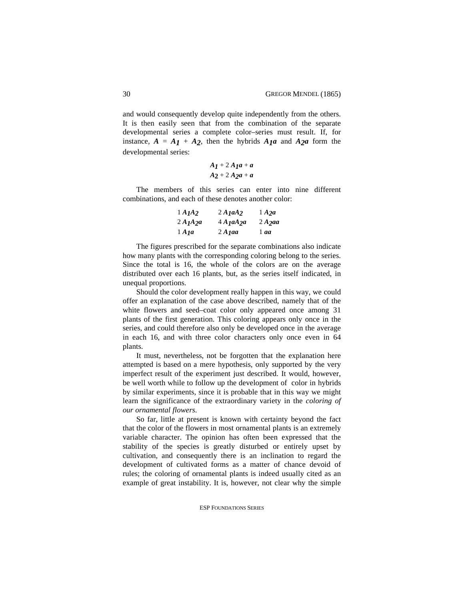and would consequently develop quite independently from the others. It is then easily seen that from the combination of the separate developmental series a complete color–series must result. If, for instance,  $A = A_1 + A_2$ , then the hybrids  $A_1a$  and  $A_2a$  form the developmental series:

$$
A_1 + 2A_1a + a
$$
  

$$
A_2 + 2A_2a + a
$$

The members of this series can enter into nine different combinations, and each of these denotes another color:

| 1 A <sub>I</sub> A <sub>2</sub> | 2A <sub>1</sub> aA <sub>2</sub> | $1$ A <sub>2</sub> $a$ |
|---------------------------------|---------------------------------|------------------------|
| $2A_1A_2a$                      | $4$ A $1$ $a$ $A$ $2$ $a$       | $2$ A $2$ aa           |
| $1$ A $1$ a                     | $2$ A $1$ aa                    | $1$ aa                 |

The figures prescribed for the separate combinations also indicate how many plants with the corresponding coloring belong to the series. Since the total is 16, the whole of the colors are on the average distributed over each 16 plants, but, as the series itself indicated, in unequal proportions.

Should the color development really happen in this way, we could offer an explanation of the case above described, namely that of the white flowers and seed–coat color only appeared once among 31 plants of the first generation. This coloring appears only once in the series, and could therefore also only be developed once in the average in each 16, and with three color characters only once even in 64 plants.

It must, nevertheless, not be forgotten that the explanation here attempted is based on a mere hypothesis, only supported by the very imperfect result of the experiment just described. It would, however, be well worth while to follow up the development of color in hybrids by similar experiments, since it is probable that in this way we might learn the significance of the extraordinary variety in the *coloring of our ornamental flowers*.

So far, little at present is known with certainty beyond the fact that the color of the flowers in most ornamental plants is an extremely variable character. The opinion has often been expressed that the stability of the species is greatly disturbed or entirely upset by cultivation, and consequently there is an inclination to regard the development of cultivated forms as a matter of chance devoid of rules; the coloring of ornamental plants is indeed usually cited as an example of great instability. It is, however, not clear why the simple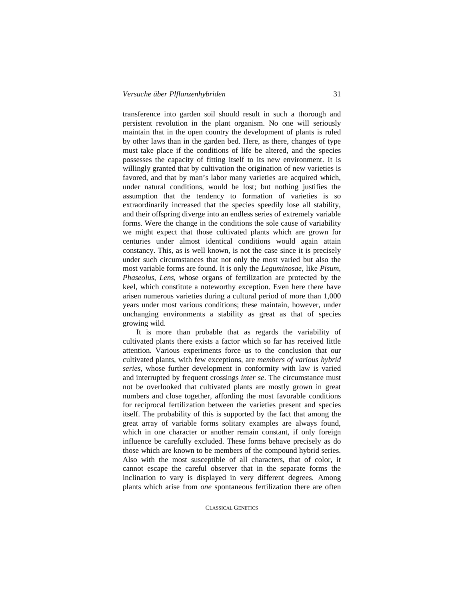transference into garden soil should result in such a thorough and persistent revolution in the plant organism. No one will seriously maintain that in the open country the development of plants is ruled by other laws than in the garden bed. Here, as there, changes of type must take place if the conditions of life be altered, and the species possesses the capacity of fitting itself to its new environment. It is willingly granted that by cultivation the origination of new varieties is favored, and that by man's labor many varieties are acquired which, under natural conditions, would be lost; but nothing justifies the assumption that the tendency to formation of varieties is so extraordinarily increased that the species speedily lose all stability, and their offspring diverge into an endless series of extremely variable forms. Were the change in the conditions the sole cause of variability we might expect that those cultivated plants which are grown for centuries under almost identical conditions would again attain constancy. This, as is well known, is not the case since it is precisely under such circumstances that not only the most varied but also the most variable forms are found. It is only the *Leguminosae*, like *Pisum*, *Phaseolus*, *Lens*, whose organs of fertilization are protected by the keel, which constitute a noteworthy exception. Even here there have arisen numerous varieties during a cultural period of more than 1,000 years under most various conditions; these maintain, however, under unchanging environments a stability as great as that of species growing wild.

It is more than probable that as regards the variability of cultivated plants there exists a factor which so far has received little attention. Various experiments force us to the conclusion that our cultivated plants, with few exceptions, are *members of various hybrid series*, whose further development in conformity with law is varied and interrupted by frequent crossings *inter se*. The circumstance must not be overlooked that cultivated plants are mostly grown in great numbers and close together, affording the most favorable conditions for reciprocal fertilization between the varieties present and species itself. The probability of this is supported by the fact that among the great array of variable forms solitary examples are always found, which in one character or another remain constant, if only foreign influence be carefully excluded. These forms behave precisely as do those which are known to be members of the compound hybrid series. Also with the most susceptible of all characters, that of color, it cannot escape the careful observer that in the separate forms the inclination to vary is displayed in very different degrees. Among plants which arise from *one* spontaneous fertilization there are often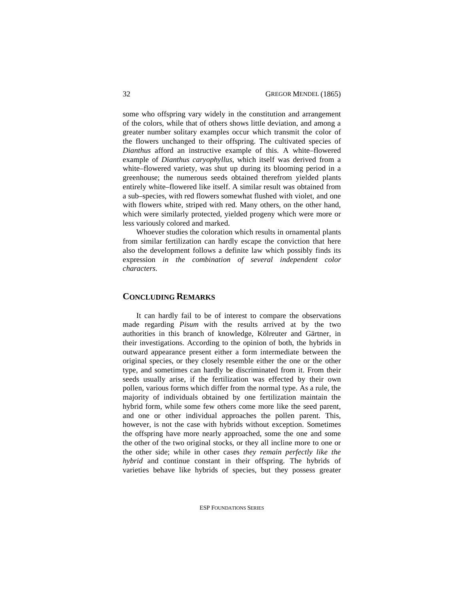some who offspring vary widely in the constitution and arrangement of the colors, while that of others shows little deviation, and among a greater number solitary examples occur which transmit the color of the flowers unchanged to their offspring. The cultivated species of *Dianthus* afford an instructive example of this. A white–flowered example of *Dianthus caryophyllus*, which itself was derived from a white–flowered variety, was shut up during its blooming period in a greenhouse; the numerous seeds obtained therefrom yielded plants entirely white–flowered like itself. A similar result was obtained from a sub–species, with red flowers somewhat flushed with violet, and one with flowers white, striped with red. Many others, on the other hand, which were similarly protected, yielded progeny which were more or less variously colored and marked.

Whoever studies the coloration which results in ornamental plants from similar fertilization can hardly escape the conviction that here also the development follows a definite law which possibly finds its expression *in the combination of several independent color characters*.

# **CONCLUDING REMARKS**

It can hardly fail to be of interest to compare the observations made regarding *Pisum* with the results arrived at by the two authorities in this branch of knowledge, Kölreuter and Gärtner, in their investigations. According to the opinion of both, the hybrids in outward appearance present either a form intermediate between the original species, or they closely resemble either the one or the other type, and sometimes can hardly be discriminated from it. From their seeds usually arise, if the fertilization was effected by their own pollen, various forms which differ from the normal type. As a rule, the majority of individuals obtained by one fertilization maintain the hybrid form, while some few others come more like the seed parent, and one or other individual approaches the pollen parent. This, however, is not the case with hybrids without exception. Sometimes the offspring have more nearly approached, some the one and some the other of the two original stocks, or they all incline more to one or the other side; while in other cases *they remain perfectly like the hybrid* and continue constant in their offspring. The hybrids of varieties behave like hybrids of species, but they possess greater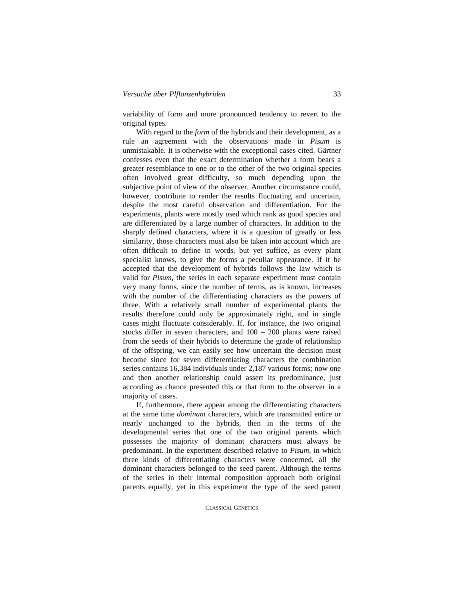variability of form and more pronounced tendency to revert to the original types.

With regard to the *form* of the hybrids and their development, as a rule an agreement with the observations made in *Pisum* is unmistakable. It is otherwise with the exceptional cases cited. Gärtner confesses even that the exact determination whether a form bears a greater resemblance to one or to the other of the two original species often involved great difficulty, so much depending upon the subjective point of view of the observer. Another circumstance could, however, contribute to render the results fluctuating and uncertain, despite the most careful observation and differentiation. For the experiments, plants were mostly used which rank as good species and are differentiated by a large number of characters. In addition to the sharply defined characters, where it is a question of greatly or less similarity, those characters must also be taken into account which are often difficult to define in words, but yet suffice, as every plant specialist knows, to give the forms a peculiar appearance. If it be accepted that the development of hybrids follows the law which is valid for *Pisum*, the series in each separate experiment must contain very many forms, since the number of terms, as is known, increases with the number of the differentiating characters as the powers of three. With a relatively small number of experimental plants the results therefore could only be approximately right, and in single cases might fluctuate considerably. If, for instance, the two original stocks differ in seven characters, and 100 – 200 plants were raised from the seeds of their hybrids to determine the grade of relationship of the offspring, we can easily see how uncertain the decision must become since for seven differentiating characters the combination series contains 16,384 individuals under 2,187 various forms; now one and then another relationship could assert its predominance, just according as chance presented this or that form to the observer in a majority of cases.

If, furthermore, there appear among the differentiating characters at the same time *dominant* characters, which are transmitted entire or nearly unchanged to the hybrids, then in the terms of the developmental series that one of the two original parents which possesses the majority of dominant characters must always be predominant. In the experiment described relative to *Pisum*, in which three kinds of differentiating characters were concerned, all the dominant characters belonged to the seed parent. Although the terms of the series in their internal composition approach both original parents equally, yet in this experiment the type of the seed parent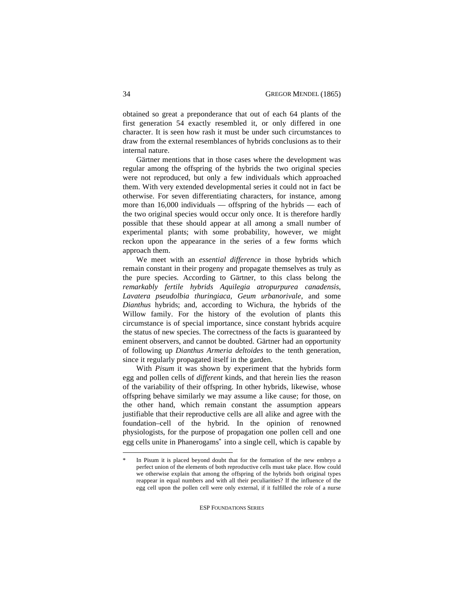obtained so great a preponderance that out of each 64 plants of the first generation 54 exactly resembled it, or only differed in one character. It is seen how rash it must be under such circumstances to draw from the external resemblances of hybrids conclusions as to their internal nature.

Gärtner mentions that in those cases where the development was regular among the offspring of the hybrids the two original species were not reproduced, but only a few individuals which approached them. With very extended developmental series it could not in fact be otherwise. For seven differentiating characters, for instance, among more than  $16,000$  individuals — offspring of the hybrids — each of the two original species would occur only once. It is therefore hardly possible that these should appear at all among a small number of experimental plants; with some probability, however, we might reckon upon the appearance in the series of a few forms which approach them.

We meet with an *essential difference* in those hybrids which remain constant in their progeny and propagate themselves as truly as the pure species. According to Gärtner, to this class belong the *remarkably fertile hybrids Aquilegia atropurpurea canadensis*, *Lavatera pseudolbia thuringiaca*, *Geum urbanorivale*, and some *Dianthus* hybrids; and, according to Wichura, the hybrids of the Willow family. For the history of the evolution of plants this circumstance is of special importance, since constant hybrids acquire the status of new species. The correctness of the facts is guaranteed by eminent observers, and cannot be doubted. Gärtner had an opportunity of following up *Dianthus Armeria deltoides* to the tenth generation, since it regularly propagated itself in the garden.

With *Pisum* it was shown by experiment that the hybrids form egg and pollen cells of *different* kinds, and that herein lies the reason of the variability of their offspring. In other hybrids, likewise, whose offspring behave similarly we may assume a like cause; for those, on the other hand, which remain constant the assumption appears justifiable that their reproductive cells are all alike and agree with the foundation–cell of the hybrid. In the opinion of renowned physiologists, for the purpose of propagation one pollen cell and one egg cells unite in Phanerogams\* into a single cell, which is capable by

In Pisum it is placed beyond doubt that for the formation of the new embryo a perfect union of the elements of both reproductive cells must take place. How could we otherwise explain that among the offspring of the hybrids both original types reappear in equal numbers and with all their peculiarities? If the influence of the egg cell upon the pollen cell were only external, if it fulfilled the role of a nurse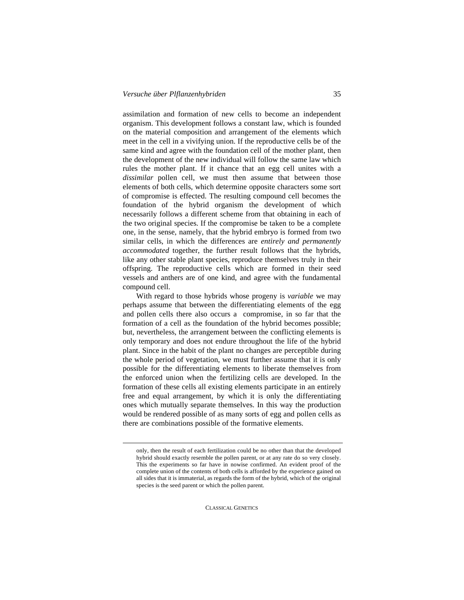assimilation and formation of new cells to become an independent organism. This development follows a constant law, which is founded on the material composition and arrangement of the elements which meet in the cell in a vivifying union. If the reproductive cells be of the same kind and agree with the foundation cell of the mother plant, then the development of the new individual will follow the same law which rules the mother plant. If it chance that an egg cell unites with a *dissimilar* pollen cell, we must then assume that between those elements of both cells, which determine opposite characters some sort of compromise is effected. The resulting compound cell becomes the foundation of the hybrid organism the development of which necessarily follows a different scheme from that obtaining in each of the two original species. If the compromise be taken to be a complete one, in the sense, namely, that the hybrid embryo is formed from two similar cells, in which the differences are *entirely and permanently accommodated* together, the further result follows that the hybrids, like any other stable plant species, reproduce themselves truly in their offspring. The reproductive cells which are formed in their seed vessels and anthers are of one kind, and agree with the fundamental compound cell.

With regard to those hybrids whose progeny is *variable* we may perhaps assume that between the differentiating elements of the egg and pollen cells there also occurs a compromise, in so far that the formation of a cell as the foundation of the hybrid becomes possible; but, nevertheless, the arrangement between the conflicting elements is only temporary and does not endure throughout the life of the hybrid plant. Since in the habit of the plant no changes are perceptible during the whole period of vegetation, we must further assume that it is only possible for the differentiating elements to liberate themselves from the enforced union when the fertilizing cells are developed. In the formation of these cells all existing elements participate in an entirely free and equal arrangement, by which it is only the differentiating ones which mutually separate themselves. In this way the production would be rendered possible of as many sorts of egg and pollen cells as there are combinations possible of the formative elements.

only, then the result of each fertilization could be no other than that the developed hybrid should exactly resemble the pollen parent, or at any rate do so very closely. This the experiments so far have in nowise confirmed. An evident proof of the complete union of the contents of both cells is afforded by the experience gained on all sides that it is immaterial, as regards the form of the hybrid, which of the original species is the seed parent or which the pollen parent.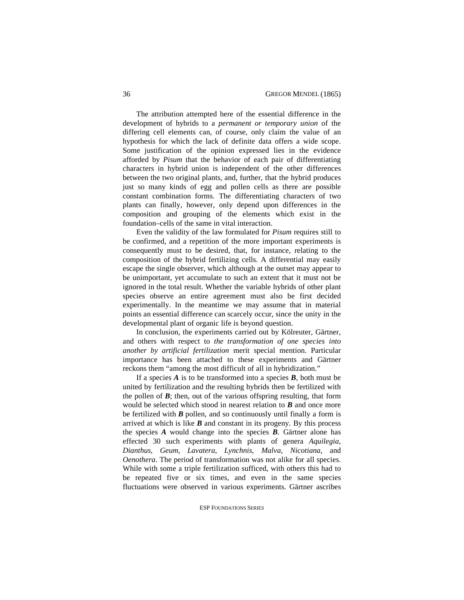The attribution attempted here of the essential difference in the development of hybrids to a *permanent or temporary union* of the differing cell elements can, of course, only claim the value of an hypothesis for which the lack of definite data offers a wide scope. Some justification of the opinion expressed lies in the evidence afforded by *Pisum* that the behavior of each pair of differentiating characters in hybrid union is independent of the other differences between the two original plants, and, further, that the hybrid produces just so many kinds of egg and pollen cells as there are possible constant combination forms. The differentiating characters of two plants can finally, however, only depend upon differences in the composition and grouping of the elements which exist in the foundation–cells of the same in vital interaction.

Even the validity of the law formulated for *Pisum* requires still to be confirmed, and a repetition of the more important experiments is consequently must to be desired, that, for instance, relating to the composition of the hybrid fertilizing cells. A differential may easily escape the single observer, which although at the outset may appear to be unimportant, yet accumulate to such an extent that it must not be ignored in the total result. Whether the variable hybrids of other plant species observe an entire agreement must also be first decided experimentally. In the meantime we may assume that in material points an essential difference can scarcely occur, since the unity in the developmental plant of organic life is beyond question.

In conclusion, the experiments carried out by Kölreuter, Gärtner, and others with respect to *the transformation of one species into another by artificial fertilization* merit special mention. Particular importance has been attached to these experiments and Gärtner reckons them "among the most difficult of all in hybridization."

If a species  $\vec{A}$  is to be transformed into a species  $\vec{B}$ , both must be united by fertilization and the resulting hybrids then be fertilized with the pollen of  $\vec{B}$ ; then, out of the various offspring resulting, that form would be selected which stood in nearest relation to *B* and once more be fertilized with *B* pollen, and so continuously until finally a form is arrived at which is like  $\bm{B}$  and constant in its progeny. By this process the species *A* would change into the species *B*. Gärtner alone has effected 30 such experiments with plants of genera *Aquilegia*, *Dianthus*, *Geum*, *Lavatera*, *Lynchnis*, *Malva*, *Nicotiana*, and *Oenothera*. The period of transformation was not alike for all species. While with some a triple fertilization sufficed, with others this had to be repeated five or six times, and even in the same species fluctuations were observed in various experiments. Gärtner ascribes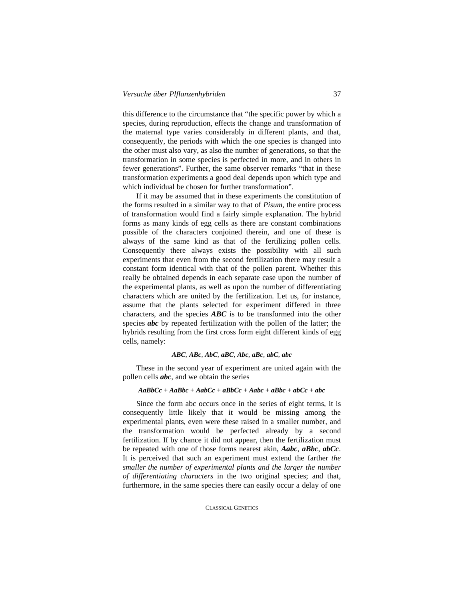this difference to the circumstance that "the specific power by which a species, during reproduction, effects the change and transformation of the maternal type varies considerably in different plants, and that, consequently, the periods with which the one species is changed into the other must also vary, as also the number of generations, so that the transformation in some species is perfected in more, and in others in fewer generations". Further, the same observer remarks "that in these transformation experiments a good deal depends upon which type and which individual be chosen for further transformation".

If it may be assumed that in these experiments the constitution of the forms resulted in a similar way to that of *Pisum*, the entire process of transformation would find a fairly simple explanation. The hybrid forms as many kinds of egg cells as there are constant combinations possible of the characters conjoined therein, and one of these is always of the same kind as that of the fertilizing pollen cells. Consequently there always exists the possibility with all such experiments that even from the second fertilization there may result a constant form identical with that of the pollen parent. Whether this really be obtained depends in each separate case upon the number of the experimental plants, as well as upon the number of differentiating characters which are united by the fertilization. Let us, for instance, assume that the plants selected for experiment differed in three characters, and the species *ABC* is to be transformed into the other species *abc* by repeated fertilization with the pollen of the latter; the hybrids resulting from the first cross form eight different kinds of egg cells, namely:

#### *ABC*, *ABc*, *AbC*, *aBC*, *Abc*, *aBc*, *abC*, *abc*

These in the second year of experiment are united again with the pollen cells *abc*, and we obtain the series

#### *AaBbCc* + *AaBbc* + *AabCc* + *aBbCc* + *Aabc* + *aBbc* + *abCc* + *abc*

Since the form abc occurs once in the series of eight terms, it is consequently little likely that it would be missing among the experimental plants, even were these raised in a smaller number, and the transformation would be perfected already by a second fertilization. If by chance it did not appear, then the fertilization must be repeated with one of those forms nearest akin, *Aabc*, *aBbc*, *abCc*. It is perceived that such an experiment must extend the farther *the smaller the number of experimental plants and the larger the number of differentiating characters* in the two original species; and that, furthermore, in the same species there can easily occur a delay of one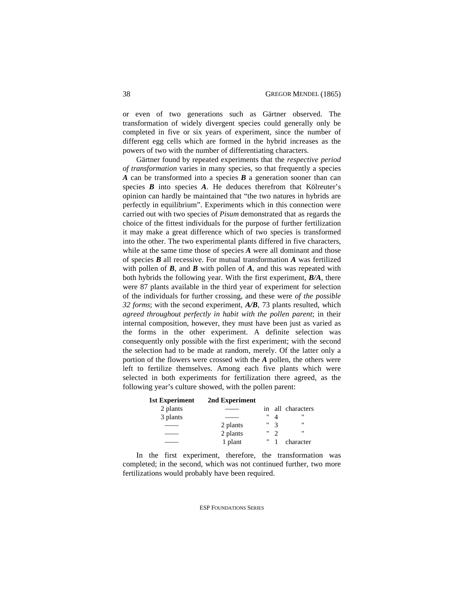or even of two generations such as Gärtner observed. The transformation of widely divergent species could generally only be completed in five or six years of experiment, since the number of different egg cells which are formed in the hybrid increases as the powers of two with the number of differentiating characters.

Gärtner found by repeated experiments that the *respective period of transformation* varies in many species, so that frequently a species *A* can be transformed into a species *B* a generation sooner than can species *B* into species *A*. He deduces therefrom that Kölreuter's opinion can hardly be maintained that "the two natures in hybrids are perfectly in equilibrium". Experiments which in this connection were carried out with two species of *Pisum* demonstrated that as regards the choice of the fittest individuals for the purpose of further fertilization it may make a great difference which of two species is transformed into the other. The two experimental plants differed in five characters, while at the same time those of species *A* were all dominant and those of species *B* all recessive. For mutual transformation *A* was fertilized with pollen of *B*, and *B* with pollen of *A*, and this was repeated with both hybrids the following year. With the first experiment, *B/A*, there were 87 plants available in the third year of experiment for selection of the individuals for further crossing, and these were *of the possible 32 forms*; with the second experiment, *A/B*, 73 plants resulted, which *agreed throughout perfectly in habit with the pollen parent*; in their internal composition, however, they must have been just as varied as the forms in the other experiment. A definite selection was consequently only possible with the first experiment; with the second the selection had to be made at random, merely. Of the latter only a portion of the flowers were crossed with the *A* pollen, the others were left to fertilize themselves. Among each five plants which were selected in both experiments for fertilization there agreed, as the following year's culture showed, with the pollen parent:

| <b>1st Experiment</b> | 2nd Experiment |    |              |                |
|-----------------------|----------------|----|--------------|----------------|
| 2 plants              |                | 1n |              | all characters |
| 3 plants              |                | "  |              | "              |
|                       | 2 plants       | "  | $\mathbf{R}$ | "              |
|                       | 2 plants       | "  |              |                |
|                       | 1 plant        | "  |              | character      |

In the first experiment, therefore, the transformation was completed; in the second, which was not continued further, two more fertilizations would probably have been required.